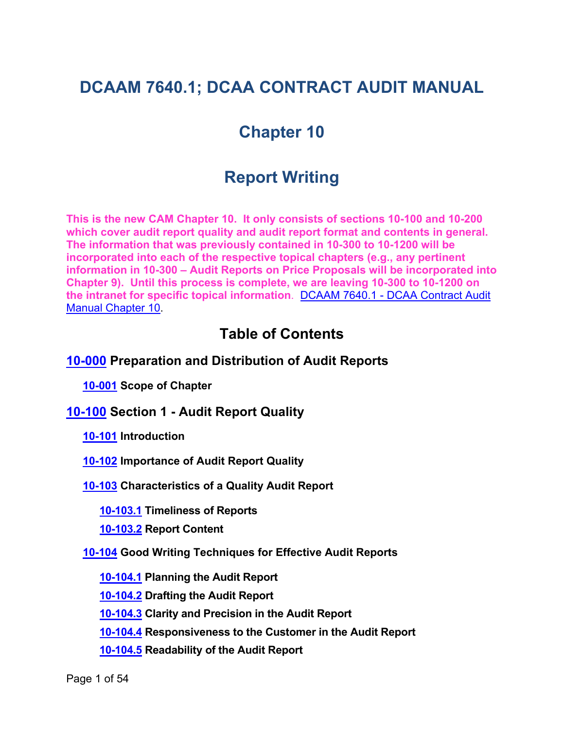# **DCAAM 7640.1; DCAA CONTRACT AUDIT MANUAL**

# **Chapter 10**

# **Report Writing**

**This is the new CAM Chapter 10. It only consists of sections 10-100 and 10-200 which cover audit report quality and audit report format and contents in general. The information that was previously contained in 10-300 to 10-1200 will be incorporated into each of the respective topical chapters (e.g., any pertinent information in 10-300 – Audit Reports on Price Proposals will be incorporated into Chapter 9). Until this process is complete, we are leaving 10-300 to 10-1200 on the intranet for specific topical information**. DCAAM 7640.1 - [DCAA Contract Audit](https://intranet.dcaa.mil/hq/p/Shared%20Documents/Chapter_10_-_Preparation_and_Distribution_of_Audit_Reports.pdf)  Manual [Chapter 10.](https://intranet.dcaa.mil/hq/p/Shared%20Documents/Chapter_10_-_Preparation_and_Distribution_of_Audit_Reports.pdf)

## <span id="page-0-8"></span><span id="page-0-5"></span><span id="page-0-4"></span><span id="page-0-2"></span><span id="page-0-1"></span><span id="page-0-0"></span>**Table of Contents**

### **[10-000](#page-3-0) Preparation and Distribution of Audit Reports**

**[10-001](#page-3-1) Scope of Chapter**

**[10-100](#page-3-2) Section 1 - Audit Report Quality**

<span id="page-0-3"></span>**[10-101](#page-3-3) Introduction**

**[10-102](#page-4-0) Importance of Audit Report Quality**

**[10-103](#page-4-1) Characteristics of a Quality Audit Report**

<span id="page-0-6"></span>**[10-103.1](#page-4-2) Timeliness of Reports**

<span id="page-0-7"></span>**[10-103.2](#page-4-3) Report Content**

**[10-104](#page-5-0) Good Writing Techniques for Effective Audit Reports**

<span id="page-0-9"></span>**[10-104.1](#page-5-1) Planning the Audit Report**

<span id="page-0-10"></span>**[10-104.2](#page-6-0) Drafting the Audit Report**

**[10-104.3](#page-6-1) Clarity and Precision in the Audit Report**

<span id="page-0-13"></span><span id="page-0-12"></span><span id="page-0-11"></span>**[10-104.4](#page-7-0) Responsiveness to the Customer in the Audit Report**

**[10-104.5](#page-7-1) Readability of the Audit Report**

Page 1 of 54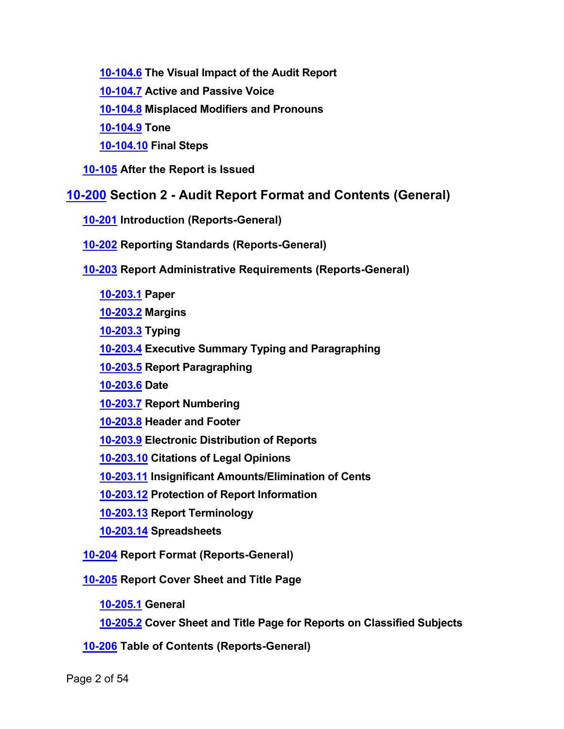<span id="page-1-1"></span><span id="page-1-0"></span>**[10-104.6](#page-10-0) The Visual Impact of the Audit Report**

**[10-104.7](#page-10-1) Active and Passive Voice**

<span id="page-1-2"></span>**[10-104.8](#page-11-0) Misplaced Modifiers and Pronouns**

<span id="page-1-3"></span>**[10-104.9](#page-12-0) Tone**

<span id="page-1-7"></span><span id="page-1-6"></span><span id="page-1-5"></span><span id="page-1-4"></span>**[10-104.10](#page-12-1) Final Steps**

**[10-105](#page-12-2) After the Report is Issued**

## **[10-200](#page-13-0) Section 2 - Audit Report Format and Contents (General)**

**[10-201](#page-13-1) Introduction (Reports-General)**

**[10-202](#page-13-2) Reporting Standards (Reports-General)**

**[10-203](#page-14-0) Report Administrative Requirements (Reports-General)**

<span id="page-1-10"></span><span id="page-1-9"></span><span id="page-1-8"></span>**[10-203.1](#page-14-1) Paper**

<span id="page-1-11"></span>**[10-203.2](#page-14-2) Margins**

<span id="page-1-12"></span>**[10-203.3](#page-14-3) Typing**

<span id="page-1-13"></span>**[10-203.4](#page-14-4) Executive Summary Typing and Paragraphing**

<span id="page-1-14"></span>**[10-203.5](#page-14-5) Report Paragraphing**

<span id="page-1-15"></span>**[10-203.6](#page-15-0) Date**

<span id="page-1-16"></span>**[10-203.7](#page-15-1) Report Numbering**

<span id="page-1-17"></span>**[10-203.8](#page-15-2) Header and Footer**

<span id="page-1-18"></span>**[10-203.9](#page-16-0) Electronic Distribution of Reports**

<span id="page-1-19"></span>**[10-203.10](#page-18-0) Citations of Legal Opinions**

<span id="page-1-20"></span>**[10-203.11](#page-18-1) Insignificant Amounts/Elimination of Cents**

<span id="page-1-21"></span>**[10-203.12](#page-19-0) Protection of Report Information**

<span id="page-1-22"></span>**[10-203.13](#page-19-1) Report Terminology**

<span id="page-1-24"></span><span id="page-1-23"></span>**[10-203.14](#page-19-2) Spreadsheets**

**[10-204](#page-20-0) Report Format (Reports-General)**

**[10-205](#page-21-0) Report Cover Sheet and Title Page**

<span id="page-1-27"></span><span id="page-1-26"></span><span id="page-1-25"></span>**[10-205.1](#page-21-1) General**

<span id="page-1-28"></span>**[10-205.2](#page-21-2) Cover Sheet and Title Page for Reports on Classified Subjects**

**[10-206](#page-21-3) Table of Contents (Reports-General)**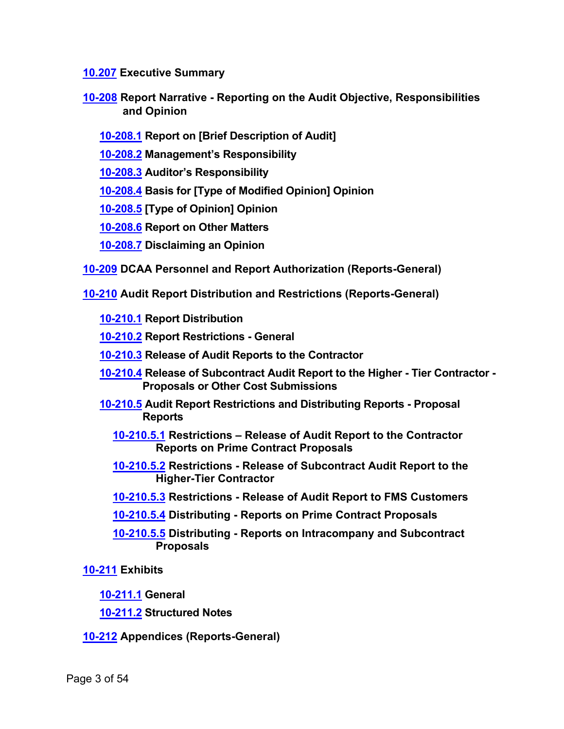<span id="page-2-0"></span>**[10.207](#page-22-0) Executive Summary**

- <span id="page-2-3"></span><span id="page-2-2"></span><span id="page-2-1"></span>**[10-208](#page-23-0) Report Narrative - Reporting on the Audit Objective, Responsibilities and Opinion**
	- **[10-208.1](#page-23-1) Report on [Brief Description of Audit]**
	- **[10-208.2](#page-23-2) Management's Responsibility**
	- **[10-208.3](#page-24-0) Auditor's Responsibility**
	- **[10-208.4](#page-24-1) Basis for [Type of Modified Opinion] Opinion**
	- **[10-208.5](#page-25-0) [Type of Opinion] Opinion**
	- **[10-208.6](#page-27-0) Report on Other Matters**
	- **[10-208.7](#page-28-0) Disclaiming an Opinion**
- <span id="page-2-8"></span><span id="page-2-7"></span><span id="page-2-6"></span><span id="page-2-5"></span><span id="page-2-4"></span>**[10-209](#page-30-0) DCAA Personnel and Report Authorization (Reports-General)**
- <span id="page-2-14"></span><span id="page-2-13"></span><span id="page-2-12"></span><span id="page-2-11"></span><span id="page-2-10"></span><span id="page-2-9"></span>**[10-210](#page-30-1) Audit Report Distribution and Restrictions (Reports-General)**
	- **[10-210.1](#page-30-2) Report Distribution**
	- **[10-210.2](#page-31-0) Report Restrictions - General**
	- **[10-210.3](#page-31-1) Release of Audit Reports to the Contractor**
	- **[10-210.4](#page-33-0) Release of Subcontract Audit Report to the Higher - Tier Contractor - Proposals or Other Cost Submissions**
	- **[10-210.5](#page-35-0) Audit Report Restrictions and Distributing Reports - Proposal Reports**
		- **[10-210.5.1](#page-35-1) Restrictions – Release of Audit Report to the Contractor Reports on Prime Contract Proposals**
		- **[10-210.5.2](#page-35-2) Restrictions - Release of Subcontract Audit Report to the Higher-Tier Contractor**
		- **[10-210.5.3](#page-35-3) Restrictions - Release of Audit Report to FMS Customers**
		- **[10-210.5.4](#page-36-0) Distributing - Reports on Prime Contract Proposals**
		- **[10-210.5.5](#page-36-1) Distributing - Reports on Intracompany and Subcontract Proposals**
- <span id="page-2-19"></span><span id="page-2-18"></span><span id="page-2-17"></span><span id="page-2-16"></span><span id="page-2-15"></span>**[10-211](#page-37-0) Exhibits**
	- **[10-211.1](#page-37-1) General**
	- **[10-211.2](#page-37-2) Structured Notes**
- <span id="page-2-21"></span><span id="page-2-20"></span>**[10-212](#page-41-0) Appendices (Reports-General)**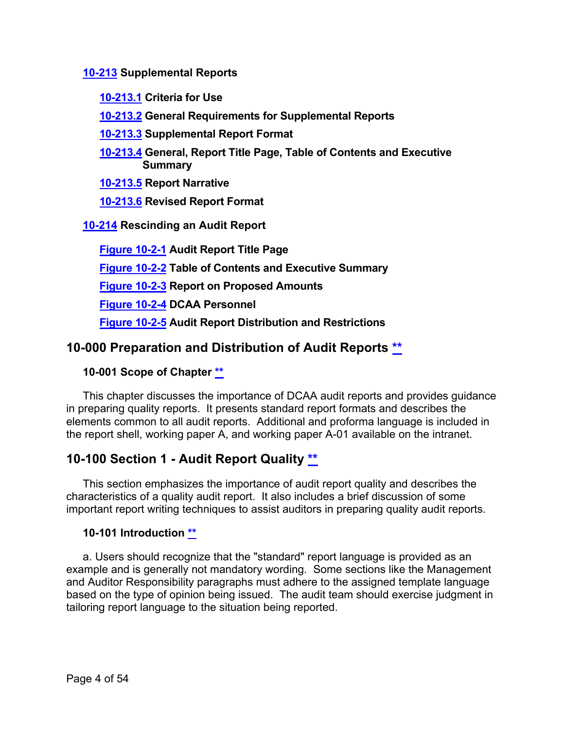**[10-213](#page-42-0) Supplemental Reports**

- <span id="page-3-9"></span><span id="page-3-8"></span>**[10-213.1](#page-42-1) Criteria for Use**
- <span id="page-3-10"></span>**[10-213.2](#page-43-0) General Requirements for Supplemental Reports**
- <span id="page-3-11"></span>**[10-213.3](#page-43-1) Supplemental Report Format**
- <span id="page-3-12"></span>**[10-213.4](#page-44-0) General, Report Title Page, Table of Contents and Executive Summary**

**[10-213.5](#page-45-0) Report Narrative**

<span id="page-3-14"></span><span id="page-3-13"></span>**[10-213.6](#page-45-1) Revised Report Format**

**[10-214](#page-46-0) Rescinding an Audit Report**

<span id="page-3-15"></span><span id="page-3-7"></span><span id="page-3-6"></span><span id="page-3-5"></span><span id="page-3-4"></span>**[Figure 10-2-1](#page-46-1) Audit Report Title Page [Figure 10-2-2](#page-3-4) Table of Contents and Executive Summary [Figure 10-2-3](#page-3-5) Report on Proposed Amounts [Figure 10-2-4](#page-3-6) DCAA Personnel [Figure 10-2-5](#page-3-7) Audit Report Distribution and Restrictions**

## <span id="page-3-0"></span>**10-000 Preparation and Distribution of Audit Reports [\\*\\*](#page-0-0)**

#### <span id="page-3-1"></span>**10-001 Scope of Chapter [\\*\\*](#page-0-1)**

This chapter discusses the importance of DCAA audit reports and provides guidance in preparing quality reports. It presents standard report formats and describes the elements common to all audit reports. Additional and proforma language is included in the report shell, working paper A, and working paper A-01 available on the intranet.

## <span id="page-3-2"></span>**10-100 Section 1 - Audit Report Quality [\\*\\*](#page-0-2)**

This section emphasizes the importance of audit report quality and describes the characteristics of a quality audit report. It also includes a brief discussion of some important report writing techniques to assist auditors in preparing quality audit reports.

#### <span id="page-3-3"></span>**10-101 Introduction [\\*\\*](#page-0-3)**

a. Users should recognize that the "standard" report language is provided as an example and is generally not mandatory wording. Some sections like the Management and Auditor Responsibility paragraphs must adhere to the assigned template language based on the type of opinion being issued. The audit team should exercise judgment in tailoring report language to the situation being reported.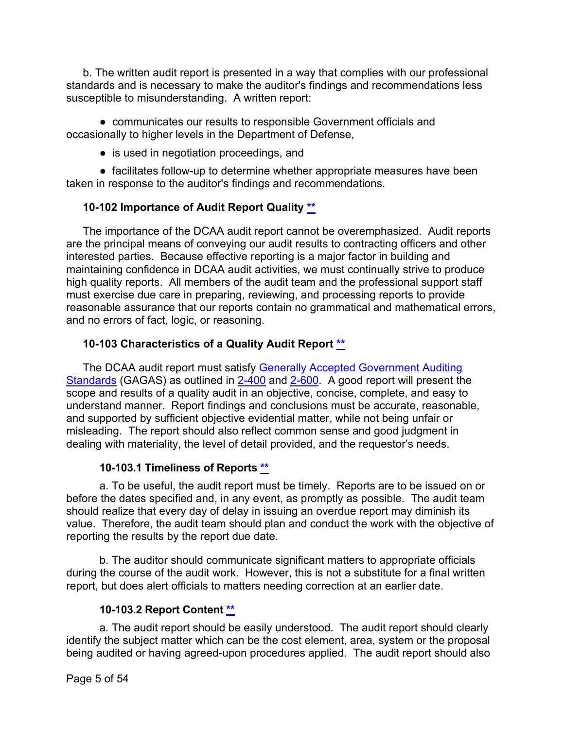b. The written audit report is presented in a way that complies with our professional standards and is necessary to make the auditor's findings and recommendations less susceptible to misunderstanding. A written report:

● communicates our results to responsible Government officials and occasionally to higher levels in the Department of Defense,

• is used in negotiation proceedings, and

● facilitates follow-up to determine whether appropriate measures have been taken in response to the auditor's findings and recommendations.

#### <span id="page-4-0"></span>**10-102 Importance of Audit Report Quality [\\*\\*](#page-0-4)**

The importance of the DCAA audit report cannot be overemphasized. Audit reports are the principal means of conveying our audit results to contracting officers and other interested parties. Because effective reporting is a major factor in building and maintaining confidence in DCAA audit activities, we must continually strive to produce high quality reports. All members of the audit team and the professional support staff must exercise due care in preparing, reviewing, and processing reports to provide reasonable assurance that our reports contain no grammatical and mathematical errors, and no errors of fact, logic, or reasoning.

#### <span id="page-4-1"></span>**10-103 Characteristics of a Quality Audit Report [\\*\\*](#page-0-5)**

The DCAA audit report must satisfy Generally Accepted Government Auditing [Standards](http://www.gao.gov/yellowbook/overview) (GAGAS) as outlined in [2-400](https://viper.dcaa.mil/guidance/cam/3128/auditing-standards#Sec2400) and [2-600.](https://viper.dcaa.mil/guidance/cam/3128/auditing-standards#Sec2600) A good report will present the scope and results of a quality audit in an objective, concise, complete, and easy to understand manner. Report findings and conclusions must be accurate, reasonable, and supported by sufficient objective evidential matter, while not being unfair or misleading. The report should also reflect common sense and good judgment in dealing with materiality, the level of detail provided, and the requestor's needs.

#### **10-103.1 Timeliness of Reports [\\*\\*](#page-0-6)**

<span id="page-4-2"></span>a. To be useful, the audit report must be timely. Reports are to be issued on or before the dates specified and, in any event, as promptly as possible. The audit team should realize that every day of delay in issuing an overdue report may diminish its value. Therefore, the audit team should plan and conduct the work with the objective of reporting the results by the report due date.

b. The auditor should communicate significant matters to appropriate officials during the course of the audit work. However, this is not a substitute for a final written report, but does alert officials to matters needing correction at an earlier date.

#### **10-103.2 Report Content [\\*\\*](#page-0-7)**

<span id="page-4-3"></span>a. The audit report should be easily understood. The audit report should clearly identify the subject matter which can be the cost element, area, system or the proposal being audited or having agreed-upon procedures applied. The audit report should also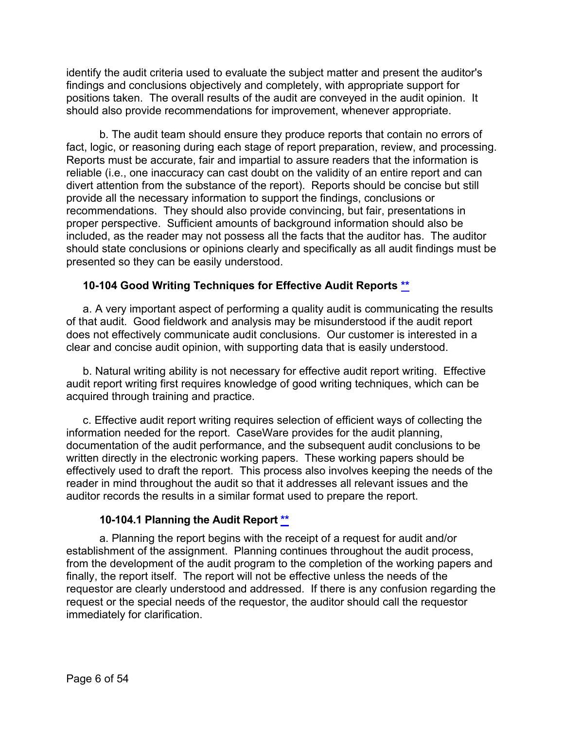identify the audit criteria used to evaluate the subject matter and present the auditor's findings and conclusions objectively and completely, with appropriate support for positions taken. The overall results of the audit are conveyed in the audit opinion. It should also provide recommendations for improvement, whenever appropriate.

b. The audit team should ensure they produce reports that contain no errors of fact, logic, or reasoning during each stage of report preparation, review, and processing. Reports must be accurate, fair and impartial to assure readers that the information is reliable (i.e., one inaccuracy can cast doubt on the validity of an entire report and can divert attention from the substance of the report). Reports should be concise but still provide all the necessary information to support the findings, conclusions or recommendations. They should also provide convincing, but fair, presentations in proper perspective. Sufficient amounts of background information should also be included, as the reader may not possess all the facts that the auditor has. The auditor should state conclusions or opinions clearly and specifically as all audit findings must be presented so they can be easily understood.

#### <span id="page-5-0"></span>**10-104 Good Writing Techniques for Effective Audit Reports [\\*\\*](#page-0-8)**

a. A very important aspect of performing a quality audit is communicating the results of that audit. Good fieldwork and analysis may be misunderstood if the audit report does not effectively communicate audit conclusions. Our customer is interested in a clear and concise audit opinion, with supporting data that is easily understood.

b. Natural writing ability is not necessary for effective audit report writing. Effective audit report writing first requires knowledge of good writing techniques, which can be acquired through training and practice.

c. Effective audit report writing requires selection of efficient ways of collecting the information needed for the report. CaseWare provides for the audit planning, documentation of the audit performance, and the subsequent audit conclusions to be written directly in the electronic working papers. These working papers should be effectively used to draft the report. This process also involves keeping the needs of the reader in mind throughout the audit so that it addresses all relevant issues and the auditor records the results in a similar format used to prepare the report.

#### **10-104.1 Planning the Audit Report [\\*\\*](#page-0-9)**

<span id="page-5-1"></span>a. Planning the report begins with the receipt of a request for audit and/or establishment of the assignment. Planning continues throughout the audit process, from the development of the audit program to the completion of the working papers and finally, the report itself. The report will not be effective unless the needs of the requestor are clearly understood and addressed. If there is any confusion regarding the request or the special needs of the requestor, the auditor should call the requestor immediately for clarification.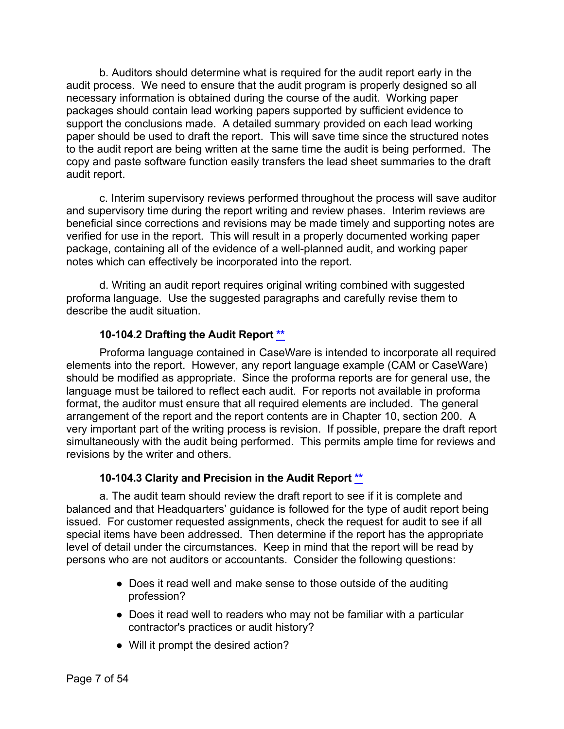b. Auditors should determine what is required for the audit report early in the audit process. We need to ensure that the audit program is properly designed so all necessary information is obtained during the course of the audit. Working paper packages should contain lead working papers supported by sufficient evidence to support the conclusions made. A detailed summary provided on each lead working paper should be used to draft the report. This will save time since the structured notes to the audit report are being written at the same time the audit is being performed. The copy and paste software function easily transfers the lead sheet summaries to the draft audit report.

c. Interim supervisory reviews performed throughout the process will save auditor and supervisory time during the report writing and review phases. Interim reviews are beneficial since corrections and revisions may be made timely and supporting notes are verified for use in the report. This will result in a properly documented working paper package, containing all of the evidence of a well-planned audit, and working paper notes which can effectively be incorporated into the report.

d. Writing an audit report requires original writing combined with suggested proforma language. Use the suggested paragraphs and carefully revise them to describe the audit situation.

#### **10-104.2 Drafting the Audit Report [\\*\\*](#page-0-10)**

<span id="page-6-0"></span>Proforma language contained in CaseWare is intended to incorporate all required elements into the report. However, any report language example (CAM or CaseWare) should be modified as appropriate. Since the proforma reports are for general use, the language must be tailored to reflect each audit. For reports not available in proforma format, the auditor must ensure that all required elements are included. The general arrangement of the report and the report contents are in Chapter 10, section 200. A very important part of the writing process is revision. If possible, prepare the draft report simultaneously with the audit being performed. This permits ample time for reviews and revisions by the writer and others.

#### **10-104.3 Clarity and Precision in the Audit Report [\\*\\*](#page-0-11)**

<span id="page-6-1"></span>a. The audit team should review the draft report to see if it is complete and balanced and that Headquarters' guidance is followed for the type of audit report being issued. For customer requested assignments, check the request for audit to see if all special items have been addressed. Then determine if the report has the appropriate level of detail under the circumstances. Keep in mind that the report will be read by persons who are not auditors or accountants. Consider the following questions:

- Does it read well and make sense to those outside of the auditing profession?
- Does it read well to readers who may not be familiar with a particular contractor's practices or audit history?
- Will it prompt the desired action?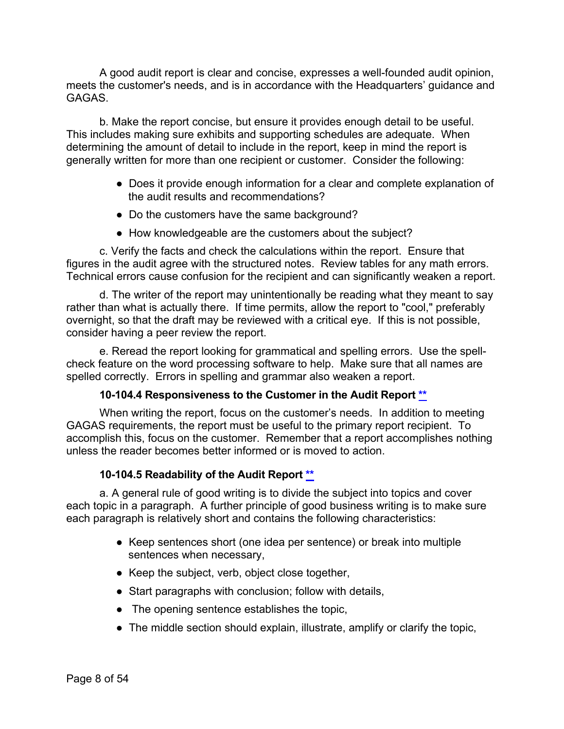A good audit report is clear and concise, expresses a well-founded audit opinion, meets the customer's needs, and is in accordance with the Headquarters' guidance and GAGAS.

b. Make the report concise, but ensure it provides enough detail to be useful. This includes making sure exhibits and supporting schedules are adequate. When determining the amount of detail to include in the report, keep in mind the report is generally written for more than one recipient or customer. Consider the following:

- Does it provide enough information for a clear and complete explanation of the audit results and recommendations?
- Do the customers have the same background?
- How knowledgeable are the customers about the subject?

c. Verify the facts and check the calculations within the report. Ensure that figures in the audit agree with the structured notes. Review tables for any math errors. Technical errors cause confusion for the recipient and can significantly weaken a report.

d. The writer of the report may unintentionally be reading what they meant to say rather than what is actually there. If time permits, allow the report to "cool," preferably overnight, so that the draft may be reviewed with a critical eye. If this is not possible, consider having a peer review the report.

e. Reread the report looking for grammatical and spelling errors. Use the spellcheck feature on the word processing software to help. Make sure that all names are spelled correctly. Errors in spelling and grammar also weaken a report.

#### **10-104.4 Responsiveness to the Customer in the Audit Report [\\*\\*](#page-0-12)**

<span id="page-7-0"></span>When writing the report, focus on the customer's needs. In addition to meeting GAGAS requirements, the report must be useful to the primary report recipient. To accomplish this, focus on the customer. Remember that a report accomplishes nothing unless the reader becomes better informed or is moved to action.

#### **10-104.5 Readability of the Audit Report [\\*\\*](#page-0-13)**

<span id="page-7-1"></span>a. A general rule of good writing is to divide the subject into topics and cover each topic in a paragraph. A further principle of good business writing is to make sure each paragraph is relatively short and contains the following characteristics:

- Keep sentences short (one idea per sentence) or break into multiple sentences when necessary,
- Keep the subject, verb, object close together,
- Start paragraphs with conclusion; follow with details,
- The opening sentence establishes the topic,
- The middle section should explain, illustrate, amplify or clarify the topic,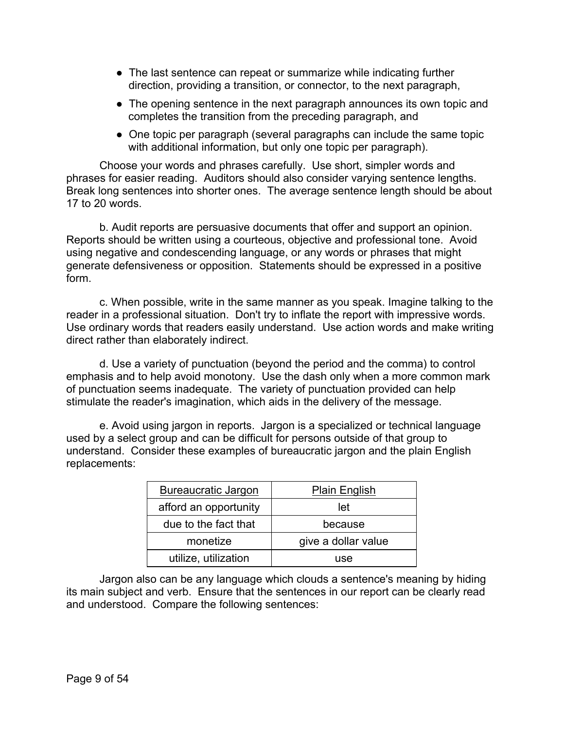- The last sentence can repeat or summarize while indicating further direction, providing a transition, or connector, to the next paragraph,
- The opening sentence in the next paragraph announces its own topic and completes the transition from the preceding paragraph, and
- One topic per paragraph (several paragraphs can include the same topic with additional information, but only one topic per paragraph).

Choose your words and phrases carefully. Use short, simpler words and phrases for easier reading. Auditors should also consider varying sentence lengths. Break long sentences into shorter ones. The average sentence length should be about 17 to 20 words.

b. Audit reports are persuasive documents that offer and support an opinion. Reports should be written using a courteous, objective and professional tone. Avoid using negative and condescending language, or any words or phrases that might generate defensiveness or opposition. Statements should be expressed in a positive form.

c. When possible, write in the same manner as you speak. Imagine talking to the reader in a professional situation. Don't try to inflate the report with impressive words. Use ordinary words that readers easily understand. Use action words and make writing direct rather than elaborately indirect.

d. Use a variety of punctuation (beyond the period and the comma) to control emphasis and to help avoid monotony. Use the dash only when a more common mark of punctuation seems inadequate. The variety of punctuation provided can help stimulate the reader's imagination, which aids in the delivery of the message.

e. Avoid using jargon in reports. Jargon is a specialized or technical language used by a select group and can be difficult for persons outside of that group to understand. Consider these examples of bureaucratic jargon and the plain English replacements:

| <b>Bureaucratic Jargon</b> | <b>Plain English</b> |
|----------------------------|----------------------|
| afford an opportunity      | let                  |
| due to the fact that       | because              |
| monetize                   | give a dollar value  |
| utilize, utilization       | use                  |

Jargon also can be any language which clouds a sentence's meaning by hiding its main subject and verb. Ensure that the sentences in our report can be clearly read and understood. Compare the following sentences: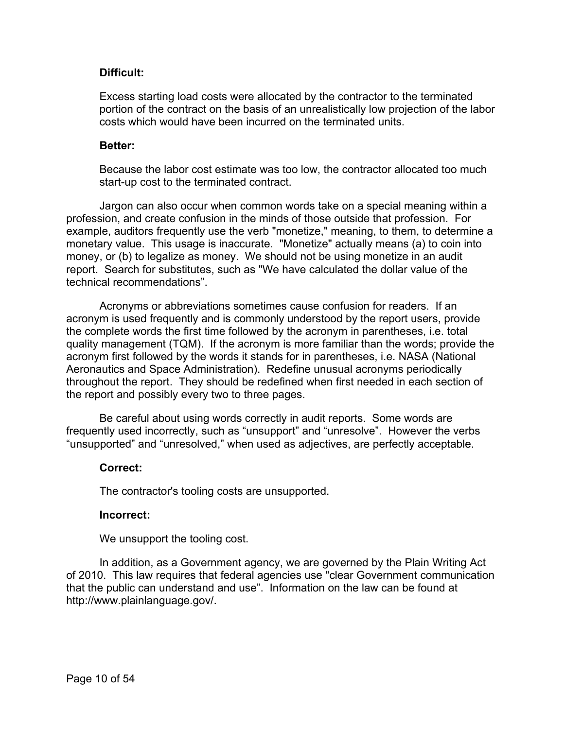#### **Difficult:**

Excess starting load costs were allocated by the contractor to the terminated portion of the contract on the basis of an unrealistically low projection of the labor costs which would have been incurred on the terminated units.

#### **Better:**

Because the labor cost estimate was too low, the contractor allocated too much start-up cost to the terminated contract.

Jargon can also occur when common words take on a special meaning within a profession, and create confusion in the minds of those outside that profession. For example, auditors frequently use the verb "monetize," meaning, to them, to determine a monetary value. This usage is inaccurate. "Monetize" actually means (a) to coin into money, or (b) to legalize as money. We should not be using monetize in an audit report. Search for substitutes, such as "We have calculated the dollar value of the technical recommendations".

Acronyms or abbreviations sometimes cause confusion for readers. If an acronym is used frequently and is commonly understood by the report users, provide the complete words the first time followed by the acronym in parentheses, i.e. total quality management (TQM). If the acronym is more familiar than the words; provide the acronym first followed by the words it stands for in parentheses, i.e. NASA (National Aeronautics and Space Administration). Redefine unusual acronyms periodically throughout the report. They should be redefined when first needed in each section of the report and possibly every two to three pages.

Be careful about using words correctly in audit reports. Some words are frequently used incorrectly, such as "unsupport" and "unresolve". However the verbs "unsupported" and "unresolved," when used as adjectives, are perfectly acceptable.

#### **Correct:**

The contractor's tooling costs are unsupported.

#### **Incorrect:**

We unsupport the tooling cost.

In addition, as a Government agency, we are governed by the Plain Writing Act of 2010. This law requires that federal agencies use "clear Government communication that the public can understand and use". Information on the law can be found at http://www.plainlanguage.gov/.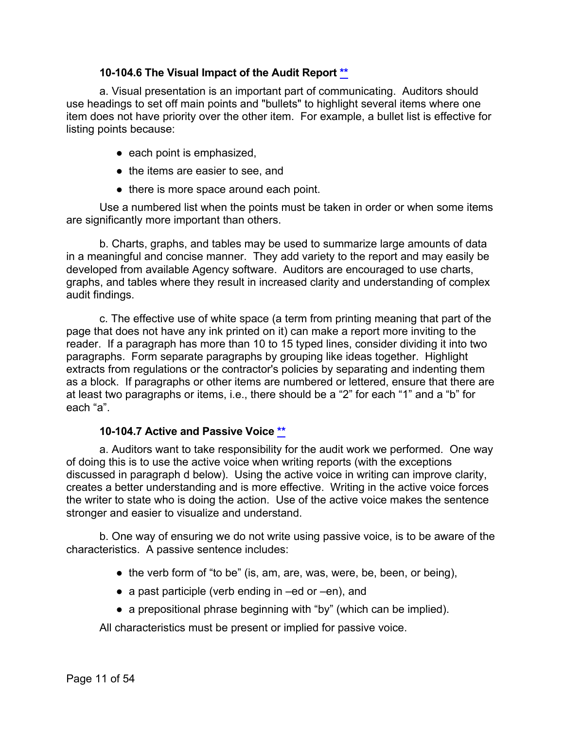#### **10-104.6 The Visual Impact of the Audit Report [\\*\\*](#page-1-0)**

<span id="page-10-0"></span>a. Visual presentation is an important part of communicating. Auditors should use headings to set off main points and "bullets" to highlight several items where one item does not have priority over the other item. For example, a bullet list is effective for listing points because:

- each point is emphasized,
- the items are easier to see, and
- there is more space around each point.

Use a numbered list when the points must be taken in order or when some items are significantly more important than others.

b. Charts, graphs, and tables may be used to summarize large amounts of data in a meaningful and concise manner. They add variety to the report and may easily be developed from available Agency software. Auditors are encouraged to use charts, graphs, and tables where they result in increased clarity and understanding of complex audit findings.

c. The effective use of white space (a term from printing meaning that part of the page that does not have any ink printed on it) can make a report more inviting to the reader. If a paragraph has more than 10 to 15 typed lines, consider dividing it into two paragraphs. Form separate paragraphs by grouping like ideas together. Highlight extracts from regulations or the contractor's policies by separating and indenting them as a block. If paragraphs or other items are numbered or lettered, ensure that there are at least two paragraphs or items, i.e., there should be a "2" for each "1" and a "b" for each "a".

#### **10-104.7 Active and Passive Voice [\\*\\*](#page-1-1)**

<span id="page-10-1"></span>a. Auditors want to take responsibility for the audit work we performed. One way of doing this is to use the active voice when writing reports (with the exceptions discussed in paragraph d below). Using the active voice in writing can improve clarity, creates a better understanding and is more effective. Writing in the active voice forces the writer to state who is doing the action. Use of the active voice makes the sentence stronger and easier to visualize and understand.

b. One way of ensuring we do not write using passive voice, is to be aware of the characteristics. A passive sentence includes:

- $\bullet$  the verb form of "to be" (is, am, are, was, were, be, been, or being),
- a past participle (verb ending in –ed or –en), and
- a prepositional phrase beginning with "by" (which can be implied).

All characteristics must be present or implied for passive voice.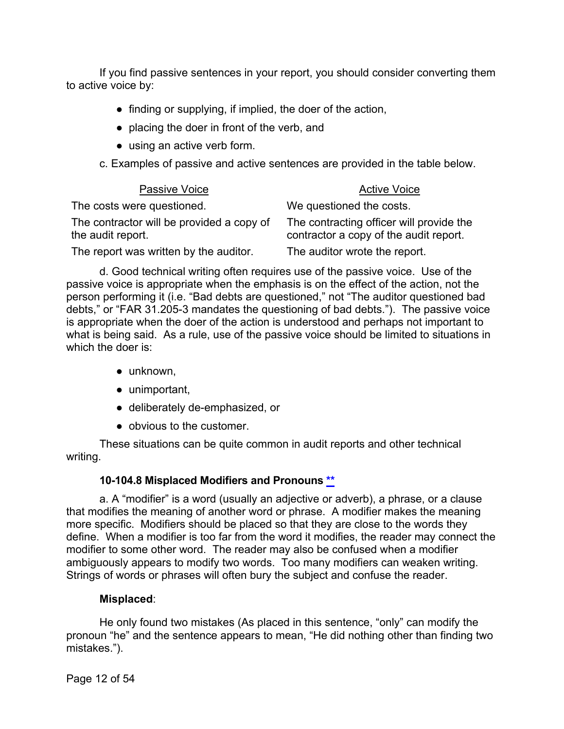If you find passive sentences in your report, you should consider converting them to active voice by:

- finding or supplying, if implied, the doer of the action,
- placing the doer in front of the verb, and
- using an active verb form.
- c. Examples of passive and active sentences are provided in the table below.

| Passive Voice                                                  | <b>Active Voice</b>                                                                |
|----------------------------------------------------------------|------------------------------------------------------------------------------------|
| The costs were questioned.                                     | We questioned the costs.                                                           |
| The contractor will be provided a copy of<br>the audit report. | The contracting officer will provide the<br>contractor a copy of the audit report. |
| The report was written by the auditor.                         | The auditor wrote the report.                                                      |

d. Good technical writing often requires use of the passive voice. Use of the passive voice is appropriate when the emphasis is on the effect of the action, not the person performing it (i.e. "Bad debts are questioned," not "The auditor questioned bad debts," or "FAR 31.205-3 mandates the questioning of bad debts."). The passive voice is appropriate when the doer of the action is understood and perhaps not important to what is being said. As a rule, use of the passive voice should be limited to situations in which the doer is:

- unknown,
- unimportant,
- deliberately de-emphasized, or
- obvious to the customer.

These situations can be quite common in audit reports and other technical writing.

#### **10-104.8 Misplaced Modifiers and Pronouns [\\*\\*](#page-1-2)**

<span id="page-11-0"></span>a. A "modifier" is a word (usually an adjective or adverb), a phrase, or a clause that modifies the meaning of another word or phrase. A modifier makes the meaning more specific. Modifiers should be placed so that they are close to the words they define. When a modifier is too far from the word it modifies, the reader may connect the modifier to some other word. The reader may also be confused when a modifier ambiguously appears to modify two words. Too many modifiers can weaken writing. Strings of words or phrases will often bury the subject and confuse the reader.

#### **Misplaced**:

He only found two mistakes (As placed in this sentence, "only" can modify the pronoun "he" and the sentence appears to mean, "He did nothing other than finding two mistakes.").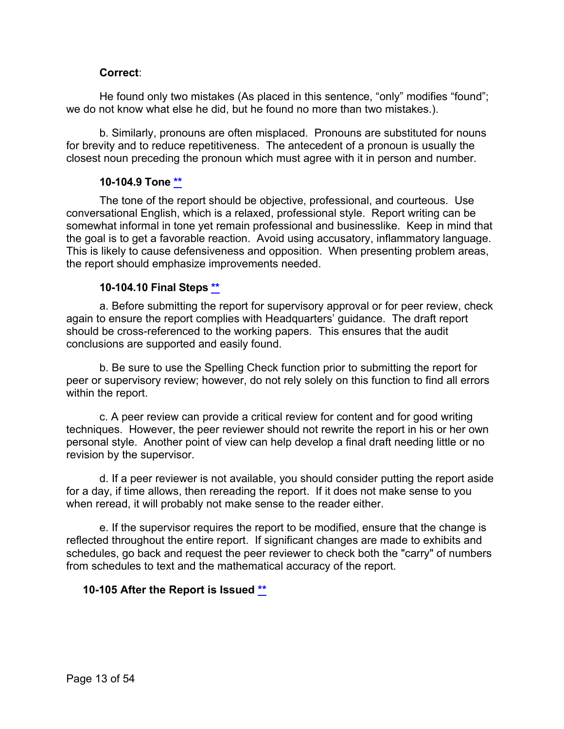#### **Correct**:

He found only two mistakes (As placed in this sentence, "only" modifies "found"; we do not know what else he did, but he found no more than two mistakes.).

b. Similarly, pronouns are often misplaced. Pronouns are substituted for nouns for brevity and to reduce repetitiveness. The antecedent of a pronoun is usually the closest noun preceding the pronoun which must agree with it in person and number.

#### **10-104.9 Tone [\\*\\*](#page-1-3)**

<span id="page-12-0"></span>The tone of the report should be objective, professional, and courteous. Use conversational English, which is a relaxed, professional style. Report writing can be somewhat informal in tone yet remain professional and businesslike. Keep in mind that the goal is to get a favorable reaction. Avoid using accusatory, inflammatory language. This is likely to cause defensiveness and opposition. When presenting problem areas, the report should emphasize improvements needed.

#### **10-104.10 Final Steps [\\*\\*](#page-1-4)**

<span id="page-12-1"></span>a. Before submitting the report for supervisory approval or for peer review, check again to ensure the report complies with Headquarters' guidance. The draft report should be cross-referenced to the working papers. This ensures that the audit conclusions are supported and easily found.

b. Be sure to use the Spelling Check function prior to submitting the report for peer or supervisory review; however, do not rely solely on this function to find all errors within the report.

c. A peer review can provide a critical review for content and for good writing techniques. However, the peer reviewer should not rewrite the report in his or her own personal style. Another point of view can help develop a final draft needing little or no revision by the supervisor.

d. If a peer reviewer is not available, you should consider putting the report aside for a day, if time allows, then rereading the report. If it does not make sense to you when reread, it will probably not make sense to the reader either.

e. If the supervisor requires the report to be modified, ensure that the change is reflected throughout the entire report. If significant changes are made to exhibits and schedules, go back and request the peer reviewer to check both the "carry" of numbers from schedules to text and the mathematical accuracy of the report.

#### <span id="page-12-2"></span>**10-105 After the Report is Issued [\\*\\*](#page-1-5)**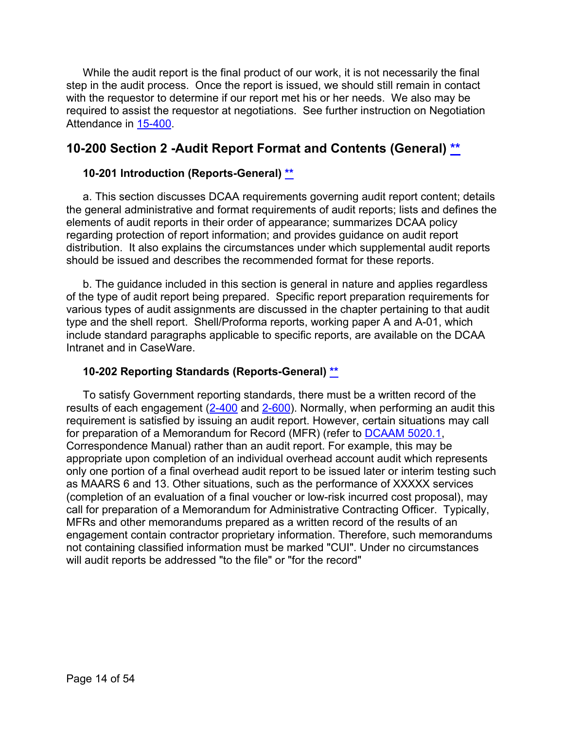While the audit report is the final product of our work, it is not necessarily the final step in the audit process. Once the report is issued, we should still remain in contact with the requestor to determine if our report met his or her needs. We also may be required to assist the requestor at negotiations. See further instruction on Negotiation Attendance in [15-400.](https://viper.dcaa.mil/guidance/cam/3161/other-dcaa-functions#Sec15400)

## <span id="page-13-0"></span>**10-200 Section 2 -Audit Report Format and Contents (General) [\\*\\*](#page-1-6)**

#### <span id="page-13-1"></span>**10-201 Introduction (Reports-General) [\\*\\*](#page-1-7)**

a. This section discusses DCAA requirements governing audit report content; details the general administrative and format requirements of audit reports; lists and defines the elements of audit reports in their order of appearance; summarizes DCAA policy regarding protection of report information; and provides guidance on audit report distribution. It also explains the circumstances under which supplemental audit reports should be issued and describes the recommended format for these reports.

b. The guidance included in this section is general in nature and applies regardless of the type of audit report being prepared. Specific report preparation requirements for various types of audit assignments are discussed in the chapter pertaining to that audit type and the shell report. Shell/Proforma reports, working paper A and A-01, which include standard paragraphs applicable to specific reports, are available on the DCAA Intranet and in CaseWare.

#### <span id="page-13-2"></span>**10-202 Reporting Standards (Reports-General) [\\*\\*](#page-1-8)**

To satisfy Government reporting standards, there must be a written record of the results of each engagement  $(2-400)$  $(2-400)$  and [2-600\)](https://viper.dcaa.mil/guidance/cam/3128/auditing-standards#Sec2600). Normally, when performing an audit this requirement is satisfied by issuing an audit report. However, certain situations may call for preparation of a Memorandum for Record (MFR) (refer to [DCAAM](https://sharepoint.dcaaintra.mil/headquarters/resources/CM/CMC/Publications/Publications/DCAAM%205020.1.pdf) 5020.1, Correspondence Manual) rather than an audit report. For example, this may be appropriate upon completion of an individual overhead account audit which represents only one portion of a final overhead audit report to be issued later or interim testing such as MAARS 6 and 13. Other situations, such as the performance of XXXXX services (completion of an evaluation of a final voucher or low-risk incurred cost proposal), may call for preparation of a Memorandum for Administrative Contracting Officer. Typically, MFRs and other memorandums prepared as a written record of the results of an engagement contain contractor proprietary information. Therefore, such memorandums not containing classified information must be marked "CUI". Under no circumstances will audit reports be addressed "to the file" or "for the record"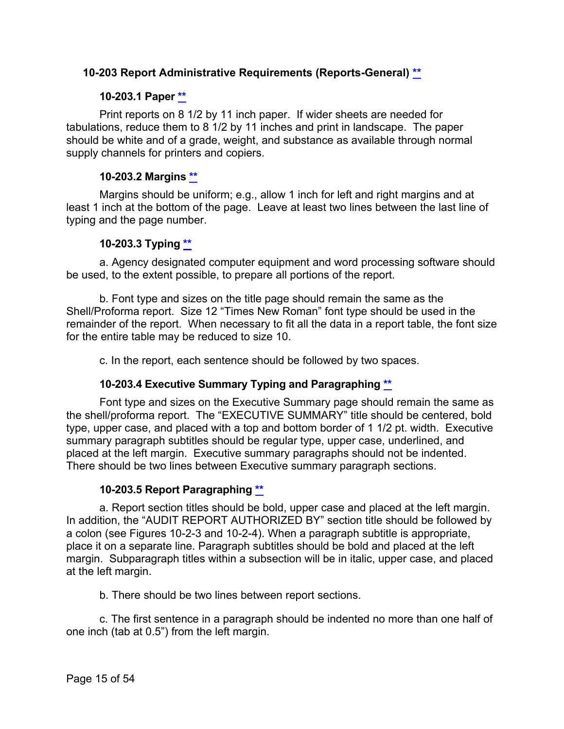#### <span id="page-14-0"></span>**10-203 Report Administrative Requirements (Reports-General) [\\*\\*](#page-1-9)**

#### **10-203.1 Paper [\\*\\*](#page-1-10)**

<span id="page-14-1"></span>Print reports on 8 1/2 by 11 inch paper. If wider sheets are needed for tabulations, reduce them to 8 1/2 by 11 inches and print in landscape. The paper should be white and of a grade, weight, and substance as available through normal supply channels for printers and copiers.

#### **10-203.2 Margins [\\*\\*](#page-1-11)**

<span id="page-14-2"></span>Margins should be uniform; e.g., allow 1 inch for left and right margins and at least 1 inch at the bottom of the page. Leave at least two lines between the last line of typing and the page number.

#### **10-203.3 Typing [\\*\\*](#page-1-12)**

<span id="page-14-3"></span>a. Agency designated computer equipment and word processing software should be used, to the extent possible, to prepare all portions of the report.

b. Font type and sizes on the title page should remain the same as the Shell/Proforma report. Size 12 "Times New Roman" font type should be used in the remainder of the report. When necessary to fit all the data in a report table, the font size for the entire table may be reduced to size 10.

c. In the report, each sentence should be followed by two spaces.

#### **10-203.4 Executive Summary Typing and Paragraphing [\\*\\*](#page-1-13)**

<span id="page-14-4"></span>Font type and sizes on the Executive Summary page should remain the same as the shell/proforma report. The "EXECUTIVE SUMMARY" title should be centered, bold type, upper case, and placed with a top and bottom border of 1 1/2 pt. width. Executive summary paragraph subtitles should be regular type, upper case, underlined, and placed at the left margin. Executive summary paragraphs should not be indented. There should be two lines between Executive summary paragraph sections.

#### **10-203.5 Report Paragraphing [\\*\\*](#page-1-14)**

<span id="page-14-5"></span>a. Report section titles should be bold, upper case and placed at the left margin. In addition, the "AUDIT REPORT AUTHORIZED BY" section title should be followed by a colon (see Figures 10-2-3 and 10-2-4). When a paragraph subtitle is appropriate, place it on a separate line. Paragraph subtitles should be bold and placed at the left margin. Subparagraph titles within a subsection will be in italic, upper case, and placed at the left margin.

b. There should be two lines between report sections.

c. The first sentence in a paragraph should be indented no more than one half of one inch (tab at 0.5") from the left margin.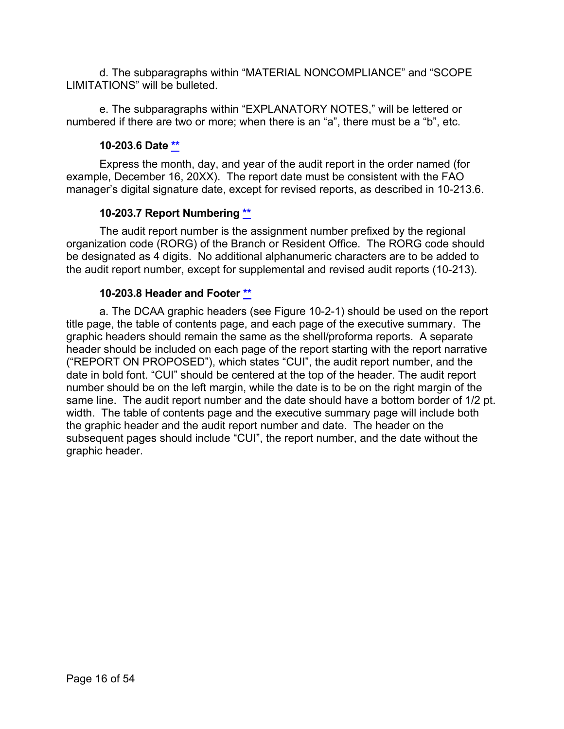d. The subparagraphs within "MATERIAL NONCOMPLIANCE" and "SCOPE LIMITATIONS" will be bulleted.

e. The subparagraphs within "EXPLANATORY NOTES," will be lettered or numbered if there are two or more; when there is an "a", there must be a "b", etc.

#### **10-203.6 Date [\\*\\*](#page-1-15)**

<span id="page-15-0"></span>Express the month, day, and year of the audit report in the order named (for example, December 16, 20XX). The report date must be consistent with the FAO manager's digital signature date, except for revised reports, as described in 10-213.6.

#### **10-203.7 Report Numbering [\\*\\*](#page-1-16)**

<span id="page-15-1"></span>The audit report number is the assignment number prefixed by the regional organization code (RORG) of the Branch or Resident Office. The RORG code should be designated as 4 digits. No additional alphanumeric characters are to be added to the audit report number, except for supplemental and revised audit reports (10-213).

#### **10-203.8 Header and Footer [\\*\\*](#page-1-17)**

<span id="page-15-2"></span>a. The DCAA graphic headers (see Figure 10-2-1) should be used on the report title page, the table of contents page, and each page of the executive summary. The graphic headers should remain the same as the shell/proforma reports. A separate header should be included on each page of the report starting with the report narrative ("REPORT ON PROPOSED"), which states "CUI", the audit report number, and the date in bold font. "CUI" should be centered at the top of the header. The audit report number should be on the left margin, while the date is to be on the right margin of the same line. The audit report number and the date should have a bottom border of 1/2 pt. width. The table of contents page and the executive summary page will include both the graphic header and the audit report number and date. The header on the subsequent pages should include "CUI", the report number, and the date without the graphic header.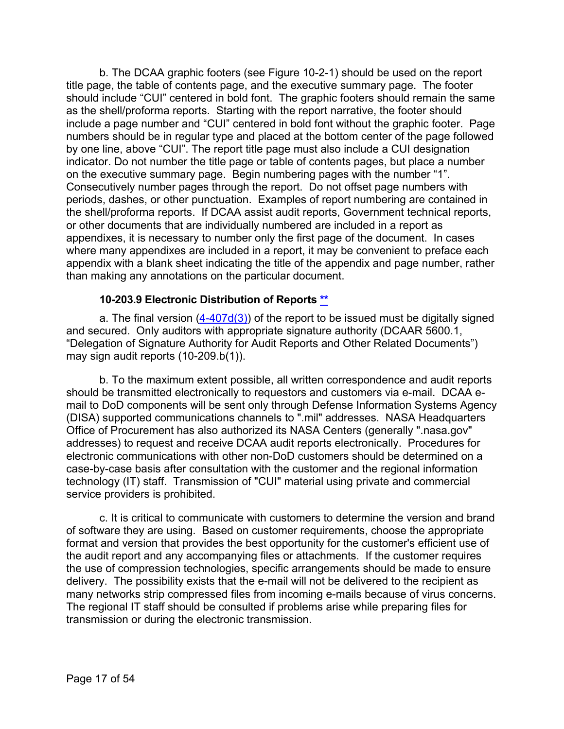b. The DCAA graphic footers (see Figure 10-2-1) should be used on the report title page, the table of contents page, and the executive summary page. The footer should include "CUI" centered in bold font. The graphic footers should remain the same as the shell/proforma reports. Starting with the report narrative, the footer should include a page number and "CUI" centered in bold font without the graphic footer. Page numbers should be in regular type and placed at the bottom center of the page followed by one line, above "CUI". The report title page must also include a CUI designation indicator. Do not number the title page or table of contents pages, but place a number on the executive summary page. Begin numbering pages with the number "1". Consecutively number pages through the report. Do not offset page numbers with periods, dashes, or other punctuation. Examples of report numbering are contained in the shell/proforma reports. If DCAA assist audit reports, Government technical reports, or other documents that are individually numbered are included in a report as appendixes, it is necessary to number only the first page of the document. In cases where many appendixes are included in a report, it may be convenient to preface each appendix with a blank sheet indicating the title of the appendix and page number, rather than making any annotations on the particular document.

#### **10-203.9 Electronic Distribution of Reports [\\*\\*](#page-1-18)**

<span id="page-16-0"></span>a. The final version  $(4-407d(3))$  of the report to be issued must be digitally signed and secured. Only auditors with appropriate signature authority (DCAAR 5600.1, "Delegation of Signature Authority for Audit Reports and Other Related Documents") may sign audit reports (10-209.b(1)).

b. To the maximum extent possible, all written correspondence and audit reports should be transmitted electronically to requestors and customers via e-mail. DCAA email to DoD components will be sent only through Defense Information Systems Agency (DISA) supported communications channels to ".mil" addresses. NASA Headquarters Office of Procurement has also authorized its NASA Centers (generally ".nasa.gov" addresses) to request and receive DCAA audit reports electronically. Procedures for electronic communications with other non-DoD customers should be determined on a case-by-case basis after consultation with the customer and the regional information technology (IT) staff. Transmission of "CUI" material using private and commercial service providers is prohibited.

c. It is critical to communicate with customers to determine the version and brand of software they are using. Based on customer requirements, choose the appropriate format and version that provides the best opportunity for the customer's efficient use of the audit report and any accompanying files or attachments. If the customer requires the use of compression technologies, specific arrangements should be made to ensure delivery. The possibility exists that the e-mail will not be delivered to the recipient as many networks strip compressed files from incoming e-mails because of virus concerns. The regional IT staff should be consulted if problems arise while preparing files for transmission or during the electronic transmission.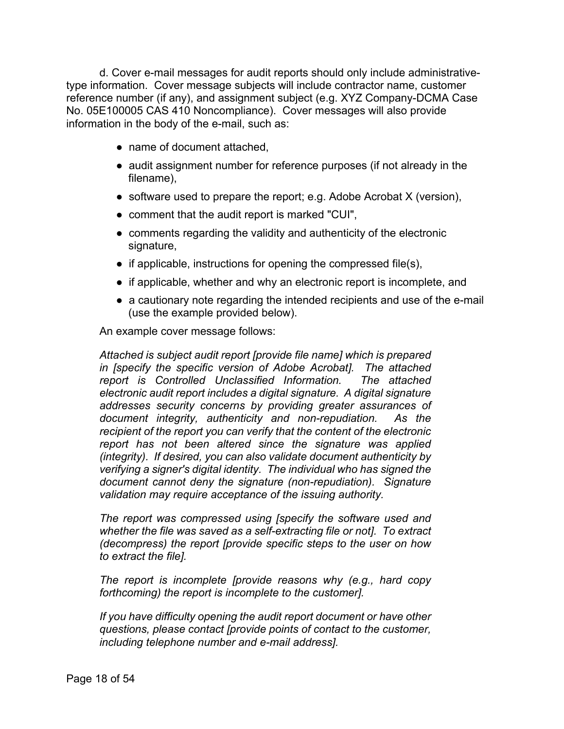d. Cover e-mail messages for audit reports should only include administrativetype information. Cover message subjects will include contractor name, customer reference number (if any), and assignment subject (e.g. XYZ Company-DCMA Case No. 05E100005 CAS 410 Noncompliance). Cover messages will also provide information in the body of the e-mail, such as:

- name of document attached,
- audit assignment number for reference purposes (if not already in the filename),
- software used to prepare the report; e.g. Adobe Acrobat  $X$  (version),
- comment that the audit report is marked "CUI",
- comments regarding the validity and authenticity of the electronic signature,
- $\bullet$  if applicable, instructions for opening the compressed file(s),
- if applicable, whether and why an electronic report is incomplete, and
- a cautionary note regarding the intended recipients and use of the e-mail (use the example provided below).

An example cover message follows:

*Attached is subject audit report [provide file name] which is prepared in [specify the specific version of Adobe Acrobat]. The attached report is Controlled Unclassified Information. The attached electronic audit report includes a digital signature. A digital signature addresses security concerns by providing greater assurances of document integrity, authenticity and non-repudiation. As the recipient of the report you can verify that the content of the electronic report has not been altered since the signature was applied (integrity). If desired, you can also validate document authenticity by verifying a signer's digital identity. The individual who has signed the document cannot deny the signature (non-repudiation). Signature validation may require acceptance of the issuing authority.*

*The report was compressed using [specify the software used and whether the file was saved as a self-extracting file or not]. To extract (decompress) the report [provide specific steps to the user on how to extract the file].*

*The report is incomplete [provide reasons why (e.g., hard copy forthcoming) the report is incomplete to the customer].*

*If you have difficulty opening the audit report document or have other questions, please contact [provide points of contact to the customer, including telephone number and e-mail address].*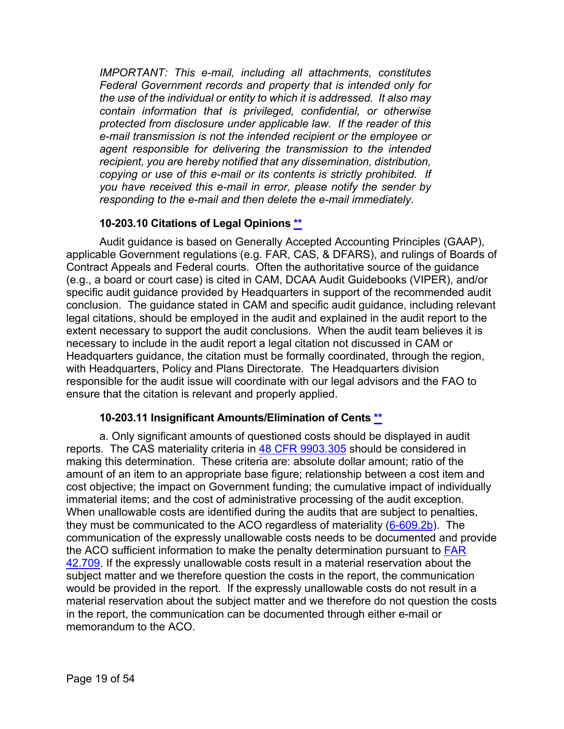*IMPORTANT: This e-mail, including all attachments, constitutes Federal Government records and property that is intended only for the use of the individual or entity to which it is addressed. It also may contain information that is privileged, confidential, or otherwise protected from disclosure under applicable law. If the reader of this e-mail transmission is not the intended recipient or the employee or agent responsible for delivering the transmission to the intended recipient, you are hereby notified that any dissemination, distribution, copying or use of this e-mail or its contents is strictly prohibited. If you have received this e-mail in error, please notify the sender by responding to the e-mail and then delete the e-mail immediately.*

#### **10-203.10 Citations of Legal Opinions [\\*\\*](#page-1-19)**

<span id="page-18-0"></span>Audit guidance is based on Generally Accepted Accounting Principles (GAAP), applicable Government regulations (e.g. FAR, CAS, & DFARS), and rulings of Boards of Contract Appeals and Federal courts. Often the authoritative source of the guidance (e.g., a board or court case) is cited in CAM, DCAA Audit Guidebooks (VIPER), and/or specific audit guidance provided by Headquarters in support of the recommended audit conclusion. The guidance stated in CAM and specific audit guidance, including relevant legal citations, should be employed in the audit and explained in the audit report to the extent necessary to support the audit conclusions. When the audit team believes it is necessary to include in the audit report a legal citation not discussed in CAM or Headquarters guidance, the citation must be formally coordinated, through the region, with Headquarters, Policy and Plans Directorate. The Headquarters division responsible for the audit issue will coordinate with our legal advisors and the FAO to ensure that the citation is relevant and properly applied.

#### **10-203.11 Insignificant Amounts/Elimination of Cents [\\*\\*](#page-1-20)**

<span id="page-18-1"></span>a. Only significant amounts of questioned costs should be displayed in audit reports. The CAS materiality criteria in [48 CFR 9903.305](https://www.ecfr.gov/cgi-bin/text-idx?SID=5e419a9a8e40e98c2874c53a2392ed6e&mc=true&node=se48.7.9903_1305&rgn=div8) should be considered in making this determination. These criteria are: absolute dollar amount; ratio of the amount of an item to an appropriate base figure; relationship between a cost item and cost objective; the impact on Government funding; the cumulative impact of individually immaterial items; and the cost of administrative processing of the audit exception. When unallowable costs are identified during the audits that are subject to penalties, they must be communicated to the ACO regardless of materiality [\(6-609.2b\)](https://viper.dcaa.mil/guidance/cam/3136/incurred-cost-audit-procedures#Sec66092). The communication of the expressly unallowable costs needs to be documented and provide the ACO sufficient information to make the penalty determination pursuant to [FAR](https://www.ecfr.gov/cgi-bin/text-idx?SID=5e419a9a8e40e98c2874c53a2392ed6e&mc=true&node=se48.1.42_1709&rgn=div8)  [42.709.](https://www.ecfr.gov/cgi-bin/text-idx?SID=5e419a9a8e40e98c2874c53a2392ed6e&mc=true&node=se48.1.42_1709&rgn=div8) If the expressly unallowable costs result in a material reservation about the subject matter and we therefore question the costs in the report, the communication would be provided in the report. If the expressly unallowable costs do not result in a material reservation about the subject matter and we therefore do not question the costs in the report, the communication can be documented through either e-mail or memorandum to the ACO.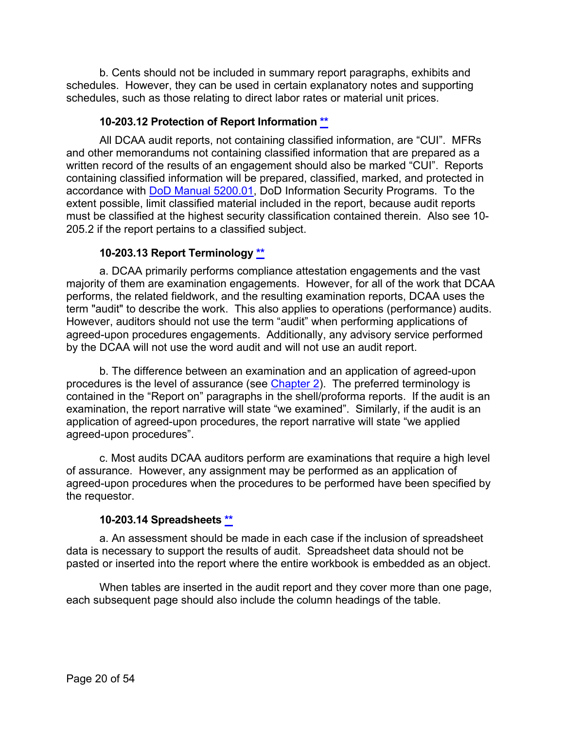b. Cents should not be included in summary report paragraphs, exhibits and schedules. However, they can be used in certain explanatory notes and supporting schedules, such as those relating to direct labor rates or material unit prices.

#### **10-203.12 Protection of Report Information [\\*\\*](#page-1-21)**

<span id="page-19-0"></span>All DCAA audit reports, not containing classified information, are "CUI". MFRs and other memorandums not containing classified information that are prepared as a written record of the results of an engagement should also be marked "CUI". Reports containing classified information will be prepared, classified, marked, and protected in accordance with [DoD Manual 5200.01,](https://www.esd.whs.mil/Portals/54/Documents/DD/issuances/dodm/520001-V4p.PDF?ver=2018-05-09-115318-927) DoD Information Security Programs. To the extent possible, limit classified material included in the report, because audit reports must be classified at the highest security classification contained therein. Also see 10- 205.2 if the report pertains to a classified subject.

#### **10-203.13 Report Terminology [\\*\\*](#page-1-22)**

<span id="page-19-1"></span>a. DCAA primarily performs compliance attestation engagements and the vast majority of them are examination engagements. However, for all of the work that DCAA performs, the related fieldwork, and the resulting examination reports, DCAA uses the term "audit" to describe the work. This also applies to operations (performance) audits. However, auditors should not use the term "audit" when performing applications of agreed-upon procedures engagements. Additionally, any advisory service performed by the DCAA will not use the word audit and will not use an audit report.

b. The difference between an examination and an application of agreed-upon procedures is the level of assurance (see [Chapter 2\)](https://viper.dcaa.mil/guidance/cam/3128/auditing-standards#Sec). The preferred terminology is contained in the "Report on" paragraphs in the shell/proforma reports. If the audit is an examination, the report narrative will state "we examined". Similarly, if the audit is an application of agreed-upon procedures, the report narrative will state "we applied agreed-upon procedures".

c. Most audits DCAA auditors perform are examinations that require a high level of assurance. However, any assignment may be performed as an application of agreed-upon procedures when the procedures to be performed have been specified by the requestor.

#### **10-203.14 Spreadsheets [\\*\\*](#page-1-23)**

<span id="page-19-2"></span>a. An assessment should be made in each case if the inclusion of spreadsheet data is necessary to support the results of audit. Spreadsheet data should not be pasted or inserted into the report where the entire workbook is embedded as an object.

When tables are inserted in the audit report and they cover more than one page, each subsequent page should also include the column headings of the table.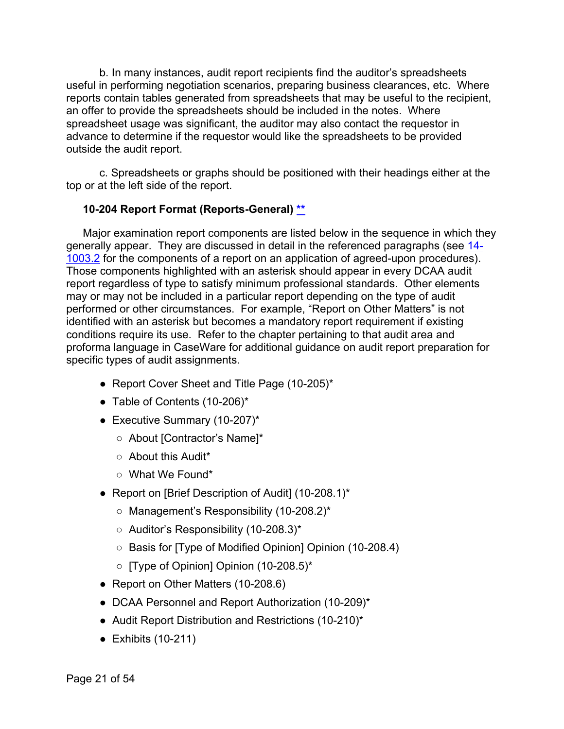b. In many instances, audit report recipients find the auditor's spreadsheets useful in performing negotiation scenarios, preparing business clearances, etc. Where reports contain tables generated from spreadsheets that may be useful to the recipient, an offer to provide the spreadsheets should be included in the notes. Where spreadsheet usage was significant, the auditor may also contact the requestor in advance to determine if the requestor would like the spreadsheets to be provided outside the audit report.

c. Spreadsheets or graphs should be positioned with their headings either at the top or at the left side of the report.

#### <span id="page-20-0"></span>**10-204 Report Format (Reports-General) [\\*\\*](#page-1-24)**

Major examination report components are listed below in the sequence in which they generally appear. They are discussed in detail in the referenced paragraphs (see [14-](https://viper.dcaa.mil/guidance/cam/3158/other-contract-audit-assignments#Sec1410032) [1003.2](https://viper.dcaa.mil/guidance/cam/3158/other-contract-audit-assignments#Sec1410032) for the components of a report on an application of agreed-upon procedures). Those components highlighted with an asterisk should appear in every DCAA audit report regardless of type to satisfy minimum professional standards. Other elements may or may not be included in a particular report depending on the type of audit performed or other circumstances. For example, "Report on Other Matters" is not identified with an asterisk but becomes a mandatory report requirement if existing conditions require its use. Refer to the chapter pertaining to that audit area and proforma language in CaseWare for additional guidance on audit report preparation for specific types of audit assignments.

- Report Cover Sheet and Title Page (10-205)\*
- Table of Contents (10-206)\*
- Executive Summary  $(10-207)^*$ 
	- About [Contractor's Name]\*
	- About this Audit\*
	- What We Found\*
- Report on [Brief Description of Audit] (10-208.1)\*
	- Management's Responsibility (10-208.2)\*
	- Auditor's Responsibility (10-208.3)\*
	- Basis for [Type of Modified Opinion] Opinion (10-208.4)
	- [Type of Opinion] Opinion (10-208.5)\*
- Report on Other Matters (10-208.6)
- DCAA Personnel and Report Authorization (10-209)\*
- Audit Report Distribution and Restrictions (10-210)\*
- $\bullet$  Exhibits (10-211)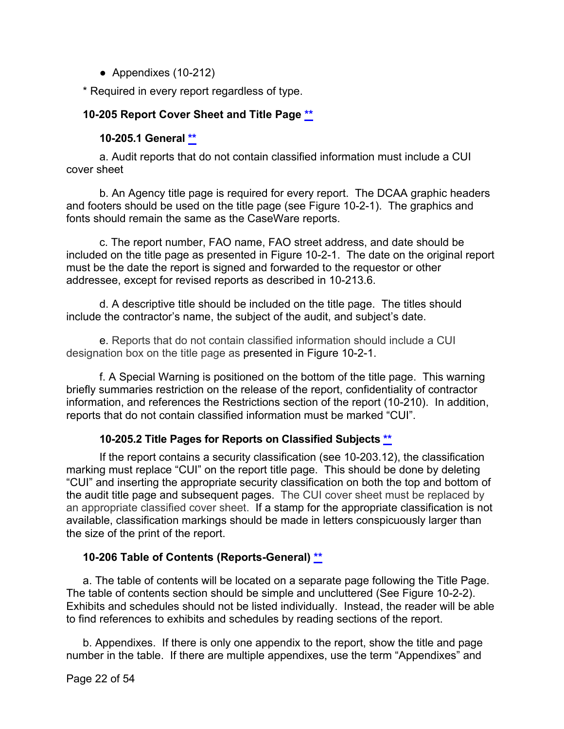● Appendixes (10-212)

\* Required in every report regardless of type.

#### <span id="page-21-0"></span>**10-205 Report Cover Sheet and Title Page [\\*\\*](#page-1-25)**

#### **10-205.1 General [\\*\\*](#page-1-26)**

<span id="page-21-1"></span>a. Audit reports that do not contain classified information must include a CUI cover sheet

b. An Agency title page is required for every report. The DCAA graphic headers and footers should be used on the title page (see Figure 10-2-1). The graphics and fonts should remain the same as the CaseWare reports.

c. The report number, FAO name, FAO street address, and date should be included on the title page as presented in Figure 10-2-1. The date on the original report must be the date the report is signed and forwarded to the requestor or other addressee, except for revised reports as described in 10-213.6.

d. A descriptive title should be included on the title page. The titles should include the contractor's name, the subject of the audit, and subject's date.

e. Reports that do not contain classified information should include a CUI designation box on the title page as presented in Figure 10-2-1.

f. A Special Warning is positioned on the bottom of the title page. This warning briefly summaries restriction on the release of the report, confidentiality of contractor information, and references the Restrictions section of the report (10-210). In addition, reports that do not contain classified information must be marked "CUI".

#### **10-205.2 Title Pages for Reports on Classified Subjects [\\*\\*](#page-1-27)**

<span id="page-21-2"></span>If the report contains a security classification (see 10-203.12), the classification marking must replace "CUI" on the report title page. This should be done by deleting "CUI" and inserting the appropriate security classification on both the top and bottom of the audit title page and subsequent pages. The CUI cover sheet must be replaced by an appropriate classified cover sheet. If a stamp for the appropriate classification is not available, classification markings should be made in letters conspicuously larger than the size of the print of the report.

#### <span id="page-21-3"></span>**10-206 Table of Contents (Reports-General) [\\*\\*](#page-1-28)**

a. The table of contents will be located on a separate page following the Title Page. The table of contents section should be simple and uncluttered (See Figure 10-2-2). Exhibits and schedules should not be listed individually. Instead, the reader will be able to find references to exhibits and schedules by reading sections of the report.

b. Appendixes. If there is only one appendix to the report, show the title and page number in the table. If there are multiple appendixes, use the term "Appendixes" and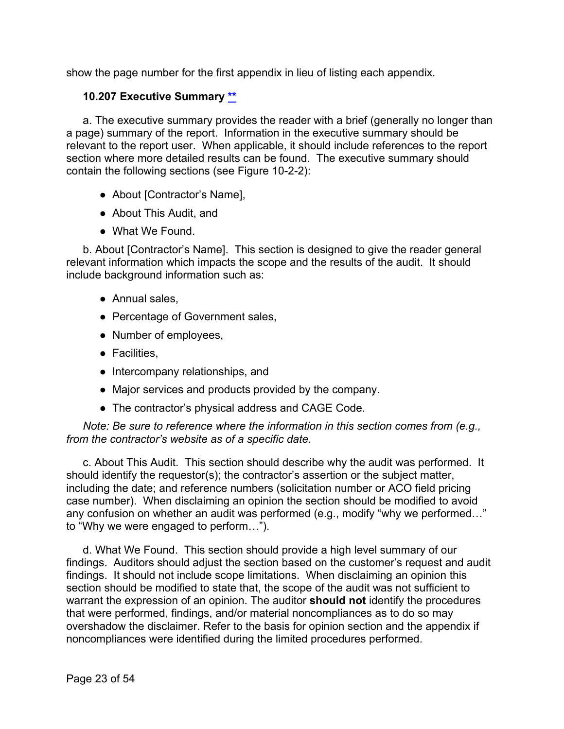show the page number for the first appendix in lieu of listing each appendix.

#### <span id="page-22-0"></span>**10.207 Executive Summary [\\*\\*](#page-2-0)**

a. The executive summary provides the reader with a brief (generally no longer than a page) summary of the report. Information in the executive summary should be relevant to the report user. When applicable, it should include references to the report section where more detailed results can be found. The executive summary should contain the following sections (see Figure 10-2-2):

- About [Contractor's Name],
- About This Audit, and
- What We Found

b. About [Contractor's Name]. This section is designed to give the reader general relevant information which impacts the scope and the results of the audit. It should include background information such as:

- Annual sales,
- Percentage of Government sales,
- Number of employees,
- Facilities,
- Intercompany relationships, and
- Major services and products provided by the company.
- The contractor's physical address and CAGE Code.

*Note: Be sure to reference where the information in this section comes from (e.g., from the contractor's website as of a specific date.*

c. About This Audit. This section should describe why the audit was performed. It should identify the requestor(s); the contractor's assertion or the subject matter, including the date; and reference numbers (solicitation number or ACO field pricing case number). When disclaiming an opinion the section should be modified to avoid any confusion on whether an audit was performed (e.g., modify "why we performed…" to "Why we were engaged to perform…").

d. What We Found. This section should provide a high level summary of our findings. Auditors should adjust the section based on the customer's request and audit findings. It should not include scope limitations. When disclaiming an opinion this section should be modified to state that, the scope of the audit was not sufficient to warrant the expression of an opinion. The auditor **should not** identify the procedures that were performed, findings, and/or material noncompliances as to do so may overshadow the disclaimer. Refer to the basis for opinion section and the appendix if noncompliances were identified during the limited procedures performed.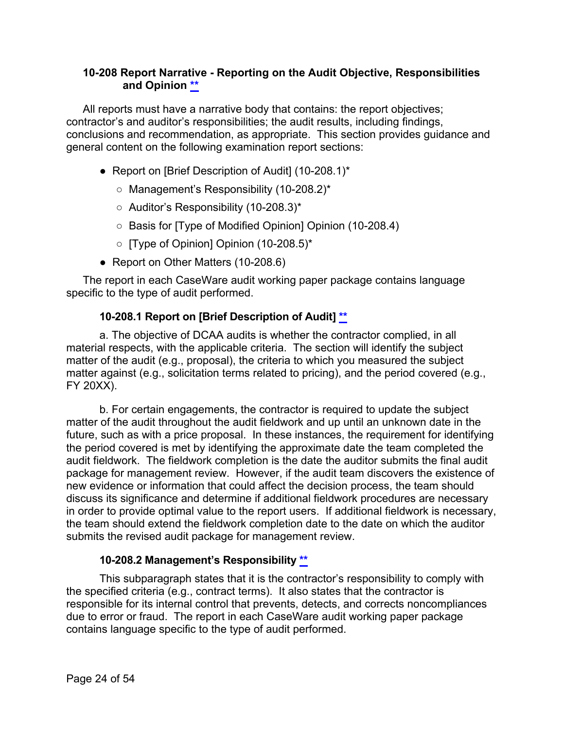#### <span id="page-23-0"></span>**10-208 Report Narrative - Reporting on the Audit Objective, Responsibilities and Opinion [\\*\\*](#page-2-1)**

All reports must have a narrative body that contains: the report objectives; contractor's and auditor's responsibilities; the audit results, including findings, conclusions and recommendation, as appropriate. This section provides guidance and general content on the following examination report sections:

- Report on [Brief Description of Audit] (10-208.1)\*
	- Management's Responsibility (10-208.2)\*
	- Auditor's Responsibility (10-208.3)\*
	- Basis for [Type of Modified Opinion] Opinion (10-208.4)
	- [Type of Opinion] Opinion (10-208.5)\*
- Report on Other Matters (10-208.6)

The report in each CaseWare audit working paper package contains language specific to the type of audit performed.

#### **10-208.1 Report on [Brief Description of Audit] \*\***

<span id="page-23-1"></span>a. The objective of DCAA audits is whether the contractor complied, in all material respects, with the applicable criteria. The section will identify the subject matter of the audit (e.g., proposal), the criteria to which you measured the subject matter against (e.g., solicitation terms related to pricing), and the period covered (e.g., FY 20XX).

b. For certain engagements, the contractor is required to update the subject matter of the audit throughout the audit fieldwork and up until an unknown date in the future, such as with a price proposal. In these instances, the requirement for identifying the period covered is met by identifying the approximate date the team completed the audit fieldwork. The fieldwork completion is the date the auditor submits the final audit package for management review. However, if the audit team discovers the existence of new evidence or information that could affect the decision process, the team should discuss its significance and determine if additional fieldwork procedures are necessary in order to provide optimal value to the report users. If additional fieldwork is necessary, the team should extend the fieldwork completion date to the date on which the auditor submits the revised audit package for management review.

## **10-208.2 Management's Responsibility [\\*\\*](#page-2-2)**

<span id="page-23-2"></span>This subparagraph states that it is the contractor's responsibility to comply with the specified criteria (e.g., contract terms). It also states that the contractor is responsible for its internal control that prevents, detects, and corrects noncompliances due to error or fraud. The report in each CaseWare audit working paper package contains language specific to the type of audit performed.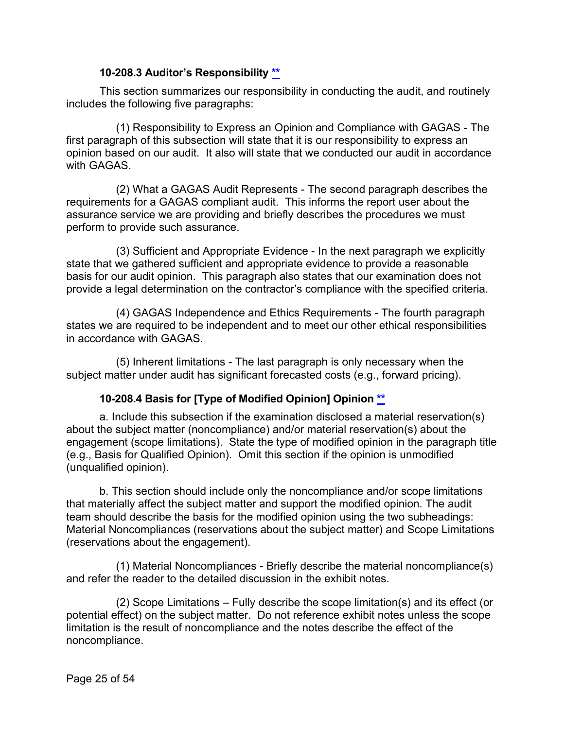#### **10-208.3 Auditor's Responsibility [\\*\\*](#page-2-3)**

<span id="page-24-0"></span>This section summarizes our responsibility in conducting the audit, and routinely includes the following five paragraphs:

(1) Responsibility to Express an Opinion and Compliance with GAGAS - The first paragraph of this subsection will state that it is our responsibility to express an opinion based on our audit. It also will state that we conducted our audit in accordance with GAGAS

(2) What a GAGAS Audit Represents - The second paragraph describes the requirements for a GAGAS compliant audit. This informs the report user about the assurance service we are providing and briefly describes the procedures we must perform to provide such assurance.

(3) Sufficient and Appropriate Evidence - In the next paragraph we explicitly state that we gathered sufficient and appropriate evidence to provide a reasonable basis for our audit opinion. This paragraph also states that our examination does not provide a legal determination on the contractor's compliance with the specified criteria.

(4) GAGAS Independence and Ethics Requirements - The fourth paragraph states we are required to be independent and to meet our other ethical responsibilities in accordance with GAGAS.

(5) Inherent limitations - The last paragraph is only necessary when the subject matter under audit has significant forecasted costs (e.g., forward pricing).

#### **10-208.4 Basis for [Type of Modified Opinion] Opinion [\\*\\*](#page-2-4)**

<span id="page-24-1"></span>a. Include this subsection if the examination disclosed a material reservation(s) about the subject matter (noncompliance) and/or material reservation(s) about the engagement (scope limitations). State the type of modified opinion in the paragraph title (e.g., Basis for Qualified Opinion). Omit this section if the opinion is unmodified (unqualified opinion).

b. This section should include only the noncompliance and/or scope limitations that materially affect the subject matter and support the modified opinion. The audit team should describe the basis for the modified opinion using the two subheadings: Material Noncompliances (reservations about the subject matter) and Scope Limitations (reservations about the engagement).

(1) Material Noncompliances - Briefly describe the material noncompliance(s) and refer the reader to the detailed discussion in the exhibit notes.

(2) Scope Limitations – Fully describe the scope limitation(s) and its effect (or potential effect) on the subject matter. Do not reference exhibit notes unless the scope limitation is the result of noncompliance and the notes describe the effect of the noncompliance.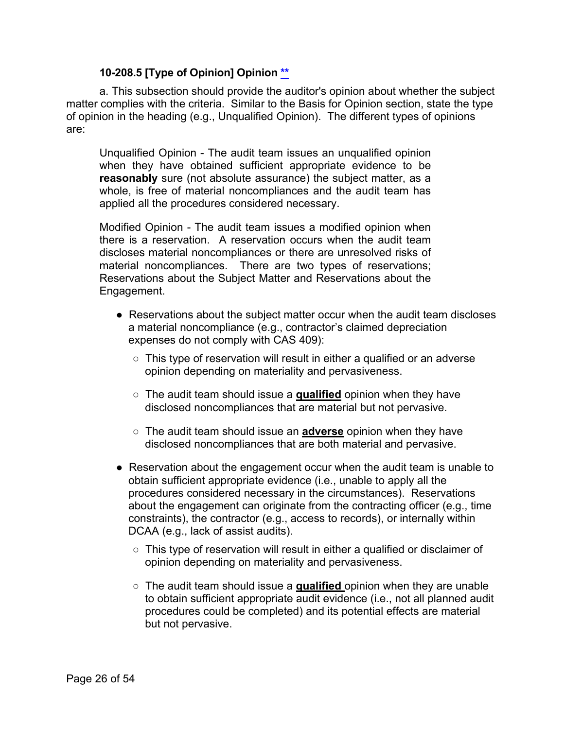#### **10-208.5 [Type of Opinion] Opinion [\\*\\*](#page-2-5)**

<span id="page-25-0"></span>a. This subsection should provide the auditor's opinion about whether the subject matter complies with the criteria. Similar to the Basis for Opinion section, state the type of opinion in the heading (e.g., Unqualified Opinion). The different types of opinions are:

Unqualified Opinion - The audit team issues an unqualified opinion when they have obtained sufficient appropriate evidence to be **reasonably** sure (not absolute assurance) the subject matter, as a whole, is free of material noncompliances and the audit team has applied all the procedures considered necessary.

Modified Opinion - The audit team issues a modified opinion when there is a reservation. A reservation occurs when the audit team discloses material noncompliances or there are unresolved risks of material noncompliances. There are two types of reservations; Reservations about the Subject Matter and Reservations about the Engagement.

- Reservations about the subject matter occur when the audit team discloses a material noncompliance (e.g., contractor's claimed depreciation expenses do not comply with CAS 409):
	- This type of reservation will result in either a qualified or an adverse opinion depending on materiality and pervasiveness.
	- The audit team should issue a **qualified** opinion when they have disclosed noncompliances that are material but not pervasive.
	- The audit team should issue an **adverse** opinion when they have disclosed noncompliances that are both material and pervasive.
- Reservation about the engagement occur when the audit team is unable to obtain sufficient appropriate evidence (i.e., unable to apply all the procedures considered necessary in the circumstances). Reservations about the engagement can originate from the contracting officer (e.g., time constraints), the contractor (e.g., access to records), or internally within DCAA (e.g., lack of assist audits).
	- $\circ$  This type of reservation will result in either a qualified or disclaimer of opinion depending on materiality and pervasiveness.
	- The audit team should issue a **qualified** opinion when they are unable to obtain sufficient appropriate audit evidence (i.e., not all planned audit procedures could be completed) and its potential effects are material but not pervasive.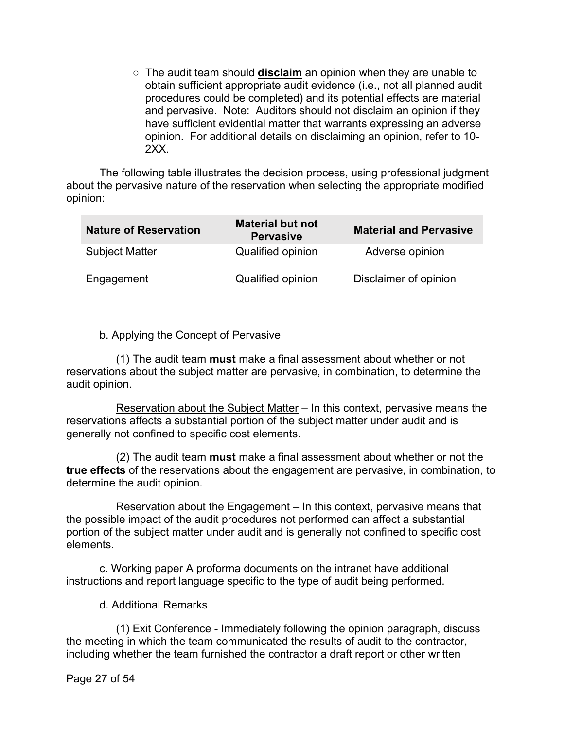○ The audit team should **disclaim** an opinion when they are unable to obtain sufficient appropriate audit evidence (i.e., not all planned audit procedures could be completed) and its potential effects are material and pervasive. Note: Auditors should not disclaim an opinion if they have sufficient evidential matter that warrants expressing an adverse opinion. For additional details on disclaiming an opinion, refer to 10- 2XX.

The following table illustrates the decision process, using professional judgment about the pervasive nature of the reservation when selecting the appropriate modified opinion:

| <b>Nature of Reservation</b> | <b>Material but not</b><br><b>Pervasive</b> | <b>Material and Pervasive</b> |
|------------------------------|---------------------------------------------|-------------------------------|
| <b>Subject Matter</b>        | Qualified opinion                           | Adverse opinion               |
| Engagement                   | Qualified opinion                           | Disclaimer of opinion         |

#### b. Applying the Concept of Pervasive

(1) The audit team **must** make a final assessment about whether or not reservations about the subject matter are pervasive, in combination, to determine the audit opinion.

Reservation about the Subject Matter – In this context, pervasive means the reservations affects a substantial portion of the subject matter under audit and is generally not confined to specific cost elements.

(2) The audit team **must** make a final assessment about whether or not the **true effects** of the reservations about the engagement are pervasive, in combination, to determine the audit opinion.

Reservation about the Engagement – In this context, pervasive means that the possible impact of the audit procedures not performed can affect a substantial portion of the subject matter under audit and is generally not confined to specific cost elements.

c. Working paper A proforma documents on the intranet have additional instructions and report language specific to the type of audit being performed.

d. Additional Remarks

(1) Exit Conference - Immediately following the opinion paragraph, discuss the meeting in which the team communicated the results of audit to the contractor, including whether the team furnished the contractor a draft report or other written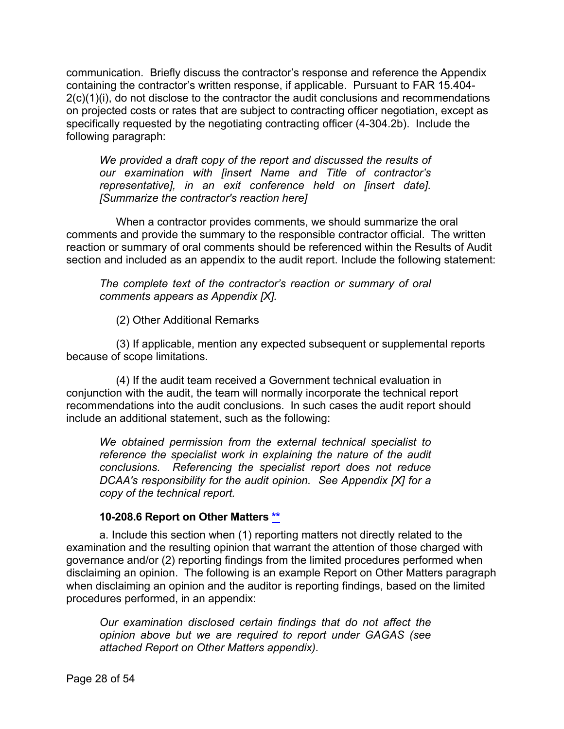communication. Briefly discuss the contractor's response and reference the Appendix containing the contractor's written response, if applicable. Pursuant to FAR 15.404- 2(c)(1)(i), do not disclose to the contractor the audit conclusions and recommendations on projected costs or rates that are subject to contracting officer negotiation, except as specifically requested by the negotiating contracting officer (4-304.2b). Include the following paragraph:

*We provided a draft copy of the report and discussed the results of our examination with [insert Name and Title of contractor's representative], in an exit conference held on [insert date]. [Summarize the contractor's reaction here]*

When a contractor provides comments, we should summarize the oral comments and provide the summary to the responsible contractor official. The written reaction or summary of oral comments should be referenced within the Results of Audit section and included as an appendix to the audit report. Include the following statement:

*The complete text of the contractor's reaction or summary of oral comments appears as Appendix [X].*

(2) Other Additional Remarks

(3) If applicable, mention any expected subsequent or supplemental reports because of scope limitations.

(4) If the audit team received a Government technical evaluation in conjunction with the audit, the team will normally incorporate the technical report recommendations into the audit conclusions. In such cases the audit report should include an additional statement, such as the following:

*We obtained permission from the external technical specialist to reference the specialist work in explaining the nature of the audit conclusions. Referencing the specialist report does not reduce DCAA's responsibility for the audit opinion. See Appendix [X] for a copy of the technical report.*

#### **10-208.6 Report on Other Matters [\\*\\*](#page-2-6)**

<span id="page-27-0"></span>a. Include this section when (1) reporting matters not directly related to the examination and the resulting opinion that warrant the attention of those charged with governance and/or (2) reporting findings from the limited procedures performed when disclaiming an opinion. The following is an example Report on Other Matters paragraph when disclaiming an opinion and the auditor is reporting findings, based on the limited procedures performed, in an appendix:

*Our examination disclosed certain findings that do not affect the opinion above but we are required to report under GAGAS (see attached Report on Other Matters appendix).*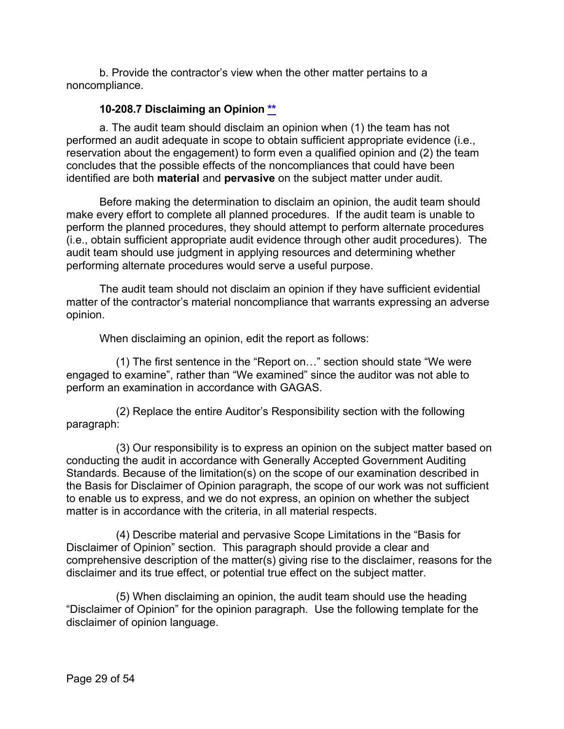b. Provide the contractor's view when the other matter pertains to a noncompliance.

#### **10-208.7 Disclaiming an Opinion [\\*\\*](#page-2-7)**

<span id="page-28-0"></span>a. The audit team should disclaim an opinion when (1) the team has not performed an audit adequate in scope to obtain sufficient appropriate evidence (i.e., reservation about the engagement) to form even a qualified opinion and (2) the team concludes that the possible effects of the noncompliances that could have been identified are both **material** and **pervasive** on the subject matter under audit.

Before making the determination to disclaim an opinion, the audit team should make every effort to complete all planned procedures. If the audit team is unable to perform the planned procedures, they should attempt to perform alternate procedures (i.e., obtain sufficient appropriate audit evidence through other audit procedures). The audit team should use judgment in applying resources and determining whether performing alternate procedures would serve a useful purpose.

The audit team should not disclaim an opinion if they have sufficient evidential matter of the contractor's material noncompliance that warrants expressing an adverse opinion.

When disclaiming an opinion, edit the report as follows:

(1) The first sentence in the "Report on…" section should state "We were engaged to examine", rather than "We examined" since the auditor was not able to perform an examination in accordance with GAGAS.

(2) Replace the entire Auditor's Responsibility section with the following paragraph:

(3) Our responsibility is to express an opinion on the subject matter based on conducting the audit in accordance with Generally Accepted Government Auditing Standards. Because of the limitation(s) on the scope of our examination described in the Basis for Disclaimer of Opinion paragraph, the scope of our work was not sufficient to enable us to express, and we do not express, an opinion on whether the subject matter is in accordance with the criteria, in all material respects.

(4) Describe material and pervasive Scope Limitations in the "Basis for Disclaimer of Opinion" section. This paragraph should provide a clear and comprehensive description of the matter(s) giving rise to the disclaimer, reasons for the disclaimer and its true effect, or potential true effect on the subject matter.

(5) When disclaiming an opinion, the audit team should use the heading "Disclaimer of Opinion" for the opinion paragraph. Use the following template for the disclaimer of opinion language.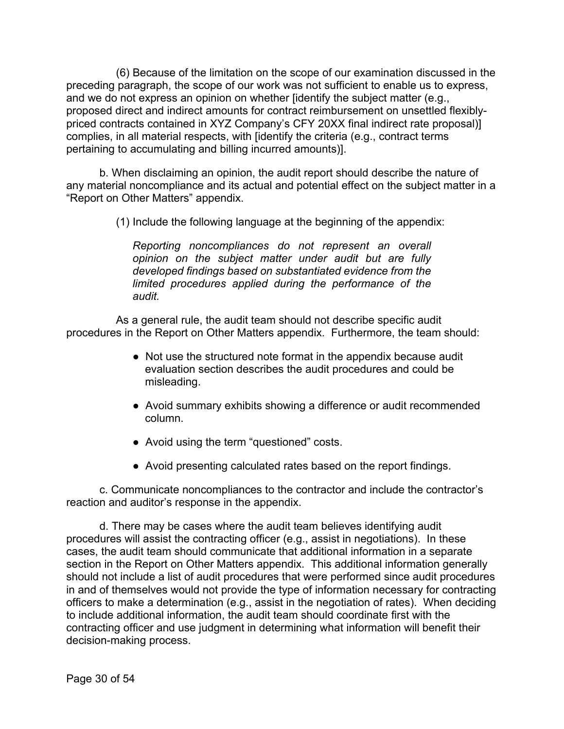(6) Because of the limitation on the scope of our examination discussed in the preceding paragraph, the scope of our work was not sufficient to enable us to express, and we do not express an opinion on whether [identify the subject matter (e.g., proposed direct and indirect amounts for contract reimbursement on unsettled flexiblypriced contracts contained in XYZ Company's CFY 20XX final indirect rate proposal)] complies, in all material respects, with [identify the criteria (e.g., contract terms pertaining to accumulating and billing incurred amounts)].

b. When disclaiming an opinion, the audit report should describe the nature of any material noncompliance and its actual and potential effect on the subject matter in a "Report on Other Matters" appendix.

(1) Include the following language at the beginning of the appendix:

*Reporting noncompliances do not represent an overall opinion on the subject matter under audit but are fully developed findings based on substantiated evidence from the limited procedures applied during the performance of the audit.*

As a general rule, the audit team should not describe specific audit procedures in the Report on Other Matters appendix. Furthermore, the team should:

- Not use the structured note format in the appendix because audit evaluation section describes the audit procedures and could be misleading.
- Avoid summary exhibits showing a difference or audit recommended column.
- Avoid using the term "questioned" costs.
- Avoid presenting calculated rates based on the report findings.

c. Communicate noncompliances to the contractor and include the contractor's reaction and auditor's response in the appendix.

d. There may be cases where the audit team believes identifying audit procedures will assist the contracting officer (e.g., assist in negotiations). In these cases, the audit team should communicate that additional information in a separate section in the Report on Other Matters appendix. This additional information generally should not include a list of audit procedures that were performed since audit procedures in and of themselves would not provide the type of information necessary for contracting officers to make a determination (e.g., assist in the negotiation of rates). When deciding to include additional information, the audit team should coordinate first with the contracting officer and use judgment in determining what information will benefit their decision-making process.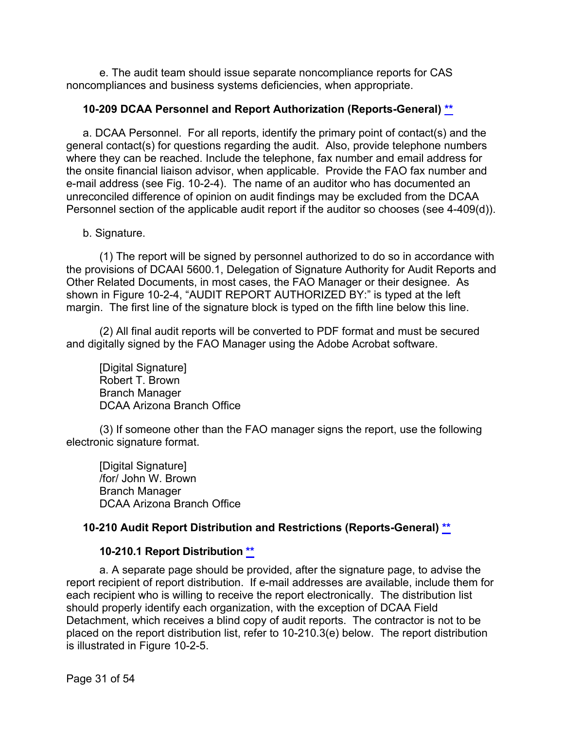e. The audit team should issue separate noncompliance reports for CAS noncompliances and business systems deficiencies, when appropriate.

#### <span id="page-30-0"></span>**10-209 DCAA Personnel and Report Authorization (Reports-General) [\\*\\*](#page-2-8)**

a. DCAA Personnel. For all reports, identify the primary point of contact(s) and the general contact(s) for questions regarding the audit. Also, provide telephone numbers where they can be reached. Include the telephone, fax number and email address for the onsite financial liaison advisor, when applicable. Provide the FAO fax number and e-mail address (see Fig. 10-2-4). The name of an auditor who has documented an unreconciled difference of opinion on audit findings may be excluded from the DCAA Personnel section of the applicable audit report if the auditor so chooses (see 4-409(d)).

#### b. Signature.

(1) The report will be signed by personnel authorized to do so in accordance with the provisions of DCAAI 5600.1, Delegation of Signature Authority for Audit Reports and Other Related Documents, in most cases, the FAO Manager or their designee. As shown in Figure 10-2-4, "AUDIT REPORT AUTHORIZED BY:" is typed at the left margin. The first line of the signature block is typed on the fifth line below this line.

(2) All final audit reports will be converted to PDF format and must be secured and digitally signed by the FAO Manager using the Adobe Acrobat software.

[Digital Signature] Robert T. Brown Branch Manager DCAA Arizona Branch Office

(3) If someone other than the FAO manager signs the report, use the following electronic signature format.

[Digital Signature] /for/ John W. Brown Branch Manager DCAA Arizona Branch Office

#### <span id="page-30-1"></span>**10-210 Audit Report Distribution and Restrictions (Reports-General) [\\*\\*](#page-2-9)**

#### **10-210.1 Report Distribution [\\*\\*](#page-2-10)**

<span id="page-30-2"></span>a. A separate page should be provided, after the signature page, to advise the report recipient of report distribution. If e-mail addresses are available, include them for each recipient who is willing to receive the report electronically. The distribution list should properly identify each organization, with the exception of DCAA Field Detachment, which receives a blind copy of audit reports. The contractor is not to be placed on the report distribution list, refer to 10-210.3(e) below. The report distribution is illustrated in Figure 10-2-5.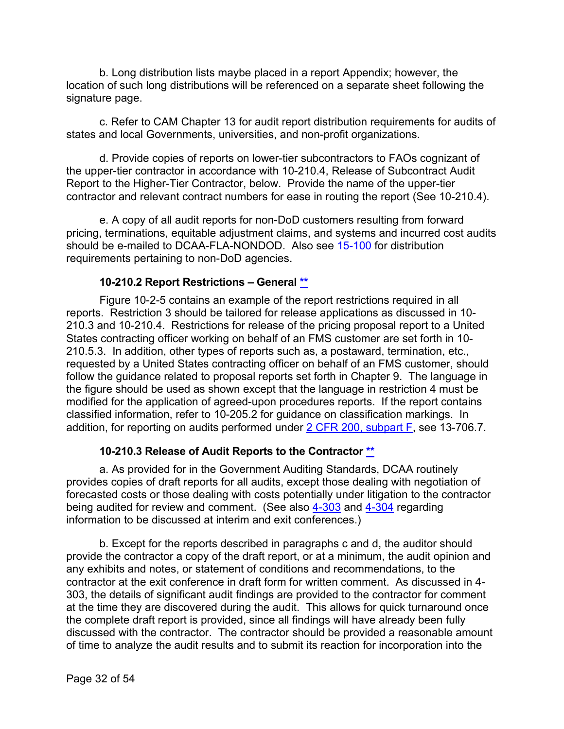b. Long distribution lists maybe placed in a report Appendix; however, the location of such long distributions will be referenced on a separate sheet following the signature page.

c. Refer to CAM Chapter 13 for audit report distribution requirements for audits of states and local Governments, universities, and non-profit organizations.

d. Provide copies of reports on lower-tier subcontractors to FAOs cognizant of the upper-tier contractor in accordance with 10-210.4, Release of Subcontract Audit Report to the Higher-Tier Contractor, below. Provide the name of the upper-tier contractor and relevant contract numbers for ease in routing the report (See 10-210.4).

e. A copy of all audit reports for non-DoD customers resulting from forward pricing, terminations, equitable adjustment claims, and systems and incurred cost audits should be e-mailed to DCAA-FLA-NONDOD. Also see [15-100](https://viper.dcaa.mil/guidance/cam/3161/other-dcaa-functions#Sec15100) for distribution requirements pertaining to non-DoD agencies.

#### **10-210.2 Report Restrictions – General [\\*\\*](#page-2-11)**

<span id="page-31-0"></span>Figure 10-2-5 contains an example of the report restrictions required in all reports. Restriction 3 should be tailored for release applications as discussed in 10- 210.3 and 10-210.4. Restrictions for release of the pricing proposal report to a United States contracting officer working on behalf of an FMS customer are set forth in 10- 210.5.3. In addition, other types of reports such as, a postaward, termination, etc., requested by a United States contracting officer on behalf of an FMS customer, should follow the guidance related to proposal reports set forth in Chapter 9. The language in the figure should be used as shown except that the language in restriction 4 must be modified for the application of agreed-upon procedures reports. If the report contains classified information, refer to 10-205.2 for guidance on classification markings. In addition, for reporting on audits performed under  $2$  CFR 200, subpart F, see 13-706.7.

#### **10-210.3 Release of Audit Reports to the Contractor [\\*\\*](#page-2-12)**

<span id="page-31-1"></span>a. As provided for in the Government Auditing Standards, DCAA routinely provides copies of draft reports for all audits, except those dealing with negotiation of forecasted costs or those dealing with costs potentially under litigation to the contractor being audited for review and comment. (See also [4-303](https://viper.dcaa.mil/guidance/cam/3130/general-audit-requirements#Sec4303) and [4-304](https://viper.dcaa.mil/guidance/cam/3130/general-audit-requirements#Sec4304) regarding information to be discussed at interim and exit conferences.)

b. Except for the reports described in paragraphs c and d, the auditor should provide the contractor a copy of the draft report, or at a minimum, the audit opinion and any exhibits and notes, or statement of conditions and recommendations, to the contractor at the exit conference in draft form for written comment. As discussed in 4- 303, the details of significant audit findings are provided to the contractor for comment at the time they are discovered during the audit. This allows for quick turnaround once the complete draft report is provided, since all findings will have already been fully discussed with the contractor. The contractor should be provided a reasonable amount of time to analyze the audit results and to submit its reaction for incorporation into the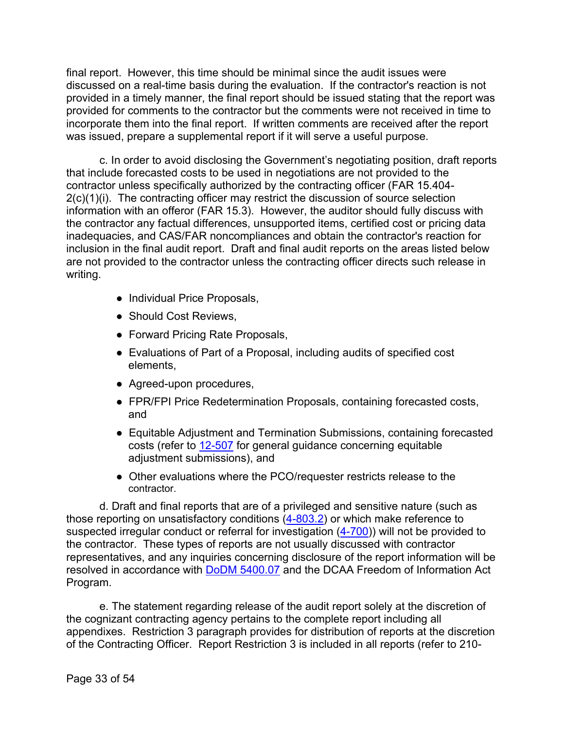final report. However, this time should be minimal since the audit issues were discussed on a real-time basis during the evaluation. If the contractor's reaction is not provided in a timely manner, the final report should be issued stating that the report was provided for comments to the contractor but the comments were not received in time to incorporate them into the final report. If written comments are received after the report was issued, prepare a supplemental report if it will serve a useful purpose.

c. In order to avoid disclosing the Government's negotiating position, draft reports that include forecasted costs to be used in negotiations are not provided to the contractor unless specifically authorized by the contracting officer (FAR 15.404- 2(c)(1)(i). The contracting officer may restrict the discussion of source selection information with an offeror (FAR 15.3). However, the auditor should fully discuss with the contractor any factual differences, unsupported items, certified cost or pricing data inadequacies, and CAS/FAR noncompliances and obtain the contractor's reaction for inclusion in the final audit report. Draft and final audit reports on the areas listed below are not provided to the contractor unless the contracting officer directs such release in writing.

- Individual Price Proposals,
- Should Cost Reviews,
- Forward Pricing Rate Proposals,
- Evaluations of Part of a Proposal, including audits of specified cost elements,
- Agreed-upon procedures,
- FPR/FPI Price Redetermination Proposals, containing forecasted costs, and
- Equitable Adjustment and Termination Submissions, containing forecasted costs (refer to [12-507](https://viper.dcaa.mil/guidance/cam/3154/auditing-contract-termination-delay-disruption-and-other-price-adjustment-proposals-or-claims#Sec12507) for general guidance concerning equitable adjustment submissions), and
- Other evaluations where the PCO/requester restricts release to the contractor.

d. Draft and final reports that are of a privileged and sensitive nature (such as those reporting on unsatisfactory conditions [\(4-803.2\)](https://viper.dcaa.mil/guidance/cam/3130/general-audit-requirements#Sec48032) or which make reference to suspected irregular conduct or referral for investigation [\(4-700\)](https://viper.dcaa.mil/guidance/cam/3130/general-audit-requirements#Sec4700)) will not be provided to the contractor. These types of reports are not usually discussed with contractor representatives, and any inquiries concerning disclosure of the report information will be resolved in accordance with [DoDM 5400.07](https://www.esd.whs.mil/Portals/54/Documents/DD/issuances/dodm/540007_dodm_2017.pdf) and the DCAA Freedom of Information Act Program.

e. The statement regarding release of the audit report solely at the discretion of the cognizant contracting agency pertains to the complete report including all appendixes. Restriction 3 paragraph provides for distribution of reports at the discretion of the Contracting Officer. Report Restriction 3 is included in all reports (refer to 210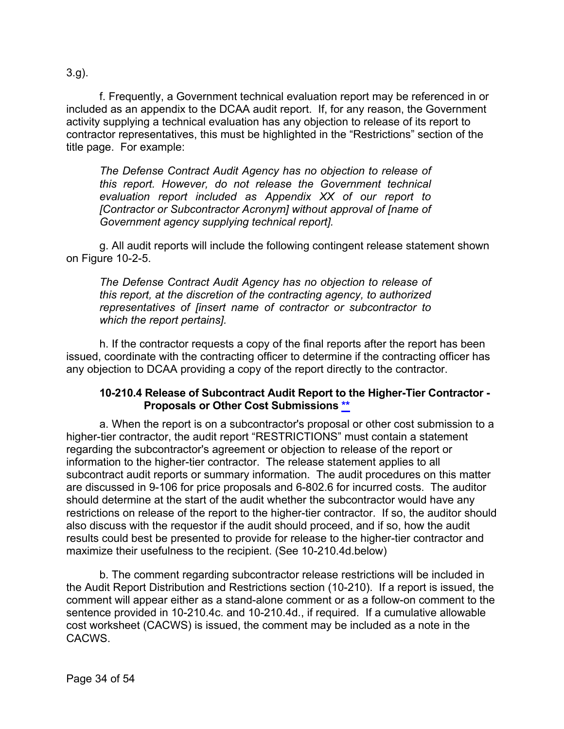3.g).

f. Frequently, a Government technical evaluation report may be referenced in or included as an appendix to the DCAA audit report. If, for any reason, the Government activity supplying a technical evaluation has any objection to release of its report to contractor representatives, this must be highlighted in the "Restrictions" section of the title page. For example:

*The Defense Contract Audit Agency has no objection to release of this report. However, do not release the Government technical evaluation report included as Appendix XX of our report to [Contractor or Subcontractor Acronym] without approval of [name of Government agency supplying technical report].*

g. All audit reports will include the following contingent release statement shown on Figure 10-2-5.

*The Defense Contract Audit Agency has no objection to release of this report, at the discretion of the contracting agency, to authorized representatives of [insert name of contractor or subcontractor to which the report pertains].*

h. If the contractor requests a copy of the final reports after the report has been issued, coordinate with the contracting officer to determine if the contracting officer has any objection to DCAA providing a copy of the report directly to the contractor.

#### **10-210.4 Release of Subcontract Audit Report to the Higher-Tier Contractor - Proposals or Other Cost Submissions [\\*\\*](#page-2-13)**

<span id="page-33-0"></span>a. When the report is on a subcontractor's proposal or other cost submission to a higher-tier contractor, the audit report "RESTRICTIONS" must contain a statement regarding the subcontractor's agreement or objection to release of the report or information to the higher-tier contractor. The release statement applies to all subcontract audit reports or summary information. The audit procedures on this matter are discussed in 9-106 for price proposals and 6-802.6 for incurred costs. The auditor should determine at the start of the audit whether the subcontractor would have any restrictions on release of the report to the higher-tier contractor. If so, the auditor should also discuss with the requestor if the audit should proceed, and if so, how the audit results could best be presented to provide for release to the higher-tier contractor and maximize their usefulness to the recipient. (See 10-210.4d.below)

b. The comment regarding subcontractor release restrictions will be included in the Audit Report Distribution and Restrictions section (10-210). If a report is issued, the comment will appear either as a stand-alone comment or as a follow-on comment to the sentence provided in 10-210.4c. and 10-210.4d., if required. If a cumulative allowable cost worksheet (CACWS) is issued, the comment may be included as a note in the CACWS.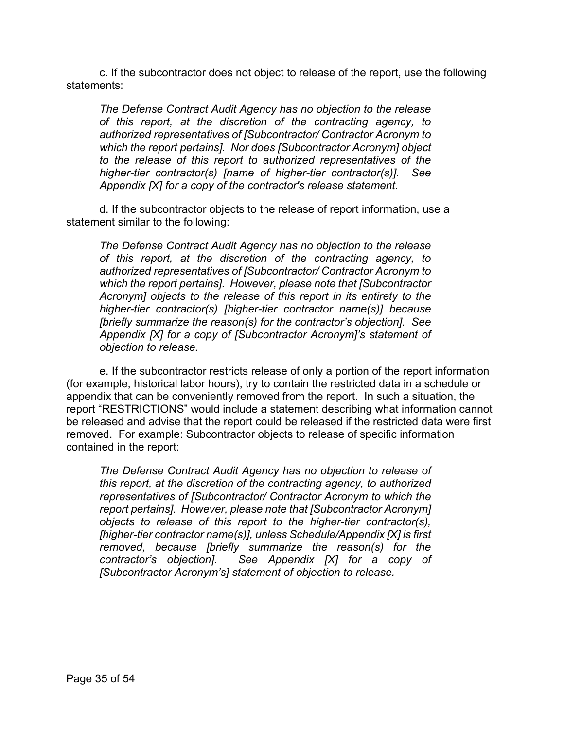c. If the subcontractor does not object to release of the report, use the following statements:

*The Defense Contract Audit Agency has no objection to the release of this report, at the discretion of the contracting agency, to authorized representatives of [Subcontractor/ Contractor Acronym to which the report pertains]. Nor does [Subcontractor Acronym] object to the release of this report to authorized representatives of the higher-tier contractor(s) [name of higher-tier contractor(s)]. See Appendix [X] for a copy of the contractor's release statement.*

d. If the subcontractor objects to the release of report information, use a statement similar to the following:

*The Defense Contract Audit Agency has no objection to the release of this report, at the discretion of the contracting agency, to authorized representatives of [Subcontractor/ Contractor Acronym to which the report pertains]. However, please note that [Subcontractor Acronym] objects to the release of this report in its entirety to the higher-tier contractor(s) [higher-tier contractor name(s)] because [briefly summarize the reason(s) for the contractor's objection]. See Appendix [X] for a copy of [Subcontractor Acronym]'s statement of objection to release.*

e. If the subcontractor restricts release of only a portion of the report information (for example, historical labor hours), try to contain the restricted data in a schedule or appendix that can be conveniently removed from the report. In such a situation, the report "RESTRICTIONS" would include a statement describing what information cannot be released and advise that the report could be released if the restricted data were first removed. For example: Subcontractor objects to release of specific information contained in the report:

*The Defense Contract Audit Agency has no objection to release of this report, at the discretion of the contracting agency, to authorized representatives of [Subcontractor/ Contractor Acronym to which the report pertains]. However, please note that [Subcontractor Acronym] objects to release of this report to the higher-tier contractor(s), [higher-tier contractor name(s)], unless Schedule/Appendix [X] is first removed, because [briefly summarize the reason(s) for the contractor's objection]. See Appendix [X] for a copy of [Subcontractor Acronym's] statement of objection to release.*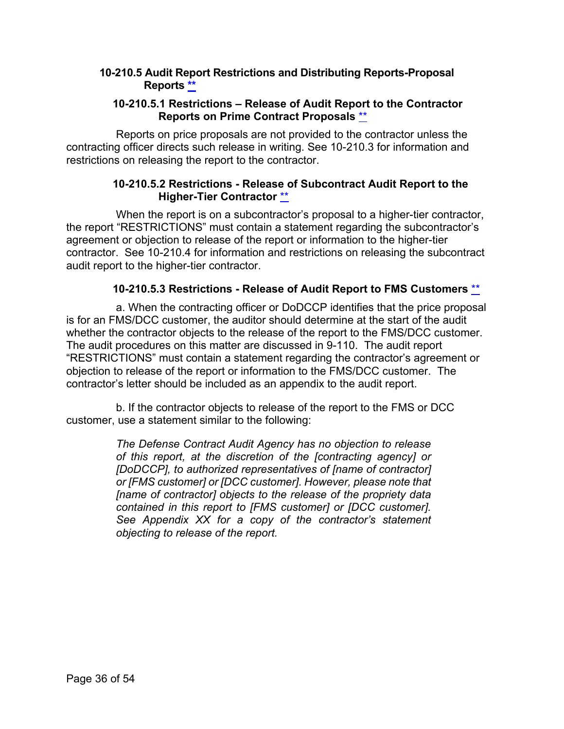#### <span id="page-35-0"></span>**10-210.5 Audit Report Restrictions and Distributing Reports-Proposal Reports [\\*\\*](#page-2-14)**

#### **10-210.5.1 Restrictions – Release of Audit Report to the Contractor Reports on Prime Contract Proposals** \*\*

<span id="page-35-1"></span>Reports on price proposals are not provided to the contractor unless the contracting officer directs such release in writing. See 10-210.3 for information and restrictions on releasing the report to the contractor.

#### **10-210.5.2 Restrictions - Release of Subcontract Audit Report to the Higher-Tier Contractor** [\\*\\*](#page-2-15)

<span id="page-35-2"></span>When the report is on a subcontractor's proposal to a higher-tier contractor, the report "RESTRICTIONS" must contain a statement regarding the subcontractor's agreement or objection to release of the report or information to the higher-tier contractor. See 10-210.4 for information and restrictions on releasing the subcontract audit report to the higher-tier contractor.

#### **10-210.5.3 Restrictions - Release of Audit Report to FMS Customers** [\\*\\*](#page-2-16)

<span id="page-35-3"></span>a. When the contracting officer or DoDCCP identifies that the price proposal is for an FMS/DCC customer, the auditor should determine at the start of the audit whether the contractor objects to the release of the report to the FMS/DCC customer. The audit procedures on this matter are discussed in 9-110. The audit report "RESTRICTIONS" must contain a statement regarding the contractor's agreement or objection to release of the report or information to the FMS/DCC customer. The contractor's letter should be included as an appendix to the audit report.

b. If the contractor objects to release of the report to the FMS or DCC customer, use a statement similar to the following:

> *The Defense Contract Audit Agency has no objection to release of this report, at the discretion of the [contracting agency] or [DoDCCP], to authorized representatives of [name of contractor] or [FMS customer] or [DCC customer]. However, please note that [name of contractor] objects to the release of the propriety data contained in this report to [FMS customer] or [DCC customer]. See Appendix XX for a copy of the contractor's statement objecting to release of the report.*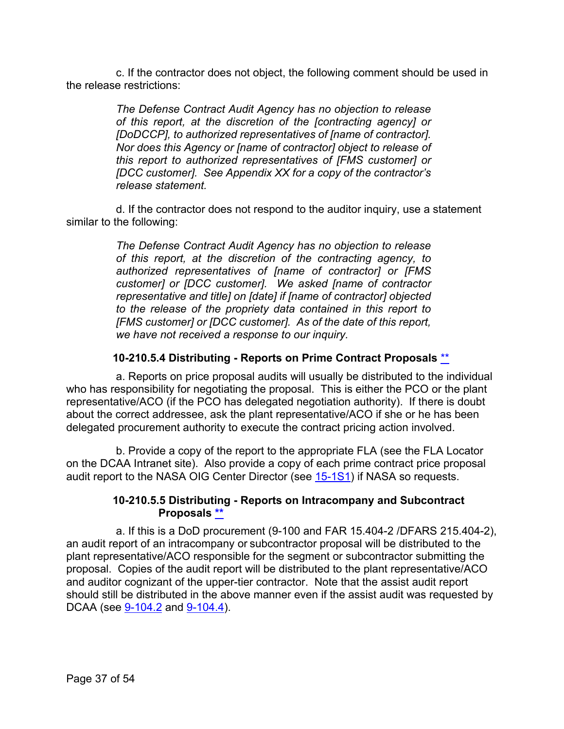c. If the contractor does not object, the following comment should be used in the release restrictions:

> *The Defense Contract Audit Agency has no objection to release of this report, at the discretion of the [contracting agency] or [DoDCCP], to authorized representatives of [name of contractor]. Nor does this Agency or [name of contractor] object to release of this report to authorized representatives of [FMS customer] or [DCC customer]. See Appendix XX for a copy of the contractor's release statement.*

d. If the contractor does not respond to the auditor inquiry, use a statement similar to the following:

> *The Defense Contract Audit Agency has no objection to release of this report, at the discretion of the contracting agency, to authorized representatives of [name of contractor] or [FMS customer] or [DCC customer]. We asked [name of contractor representative and title] on [date] if [name of contractor] objected to the release of the propriety data contained in this report to [FMS customer] or [DCC customer]. As of the date of this report, we have not received a response to our inquiry.*

#### **10-210.5.4 Distributing - Reports on Prime Contract Proposals** [\\*\\*](#page-2-17)

<span id="page-36-0"></span>a. Reports on price proposal audits will usually be distributed to the individual who has responsibility for negotiating the proposal. This is either the PCO or the plant representative/ACO (if the PCO has delegated negotiation authority). If there is doubt about the correct addressee, ask the plant representative/ACO if she or he has been delegated procurement authority to execute the contract pricing action involved.

b. Provide a copy of the report to the appropriate FLA (see the FLA Locator on the DCAA Intranet site). Also provide a copy of each prime contract price proposal audit report to the NASA OIG Center Director (see [15-1S1\)](https://viper.dcaa.mil/guidance/cam/3161/other-dcaa-functions#Sec151S1) if NASA so requests.

#### **10-210.5.5 Distributing - Reports on Intracompany and Subcontract Proposals [\\*\\*](#page-2-18)**

<span id="page-36-1"></span>a. If this is a DoD procurement (9-100 and FAR 15.404-2 /DFARS 215.404-2), an audit report of an intracompany or subcontractor proposal will be distributed to the plant representative/ACO responsible for the segment or subcontractor submitting the proposal. Copies of the audit report will be distributed to the plant representative/ACO and auditor cognizant of the upper-tier contractor. Note that the assist audit report should still be distributed in the above manner even if the assist audit was requested by DCAA (see  $9-104.2$  and  $9-104.4$ ).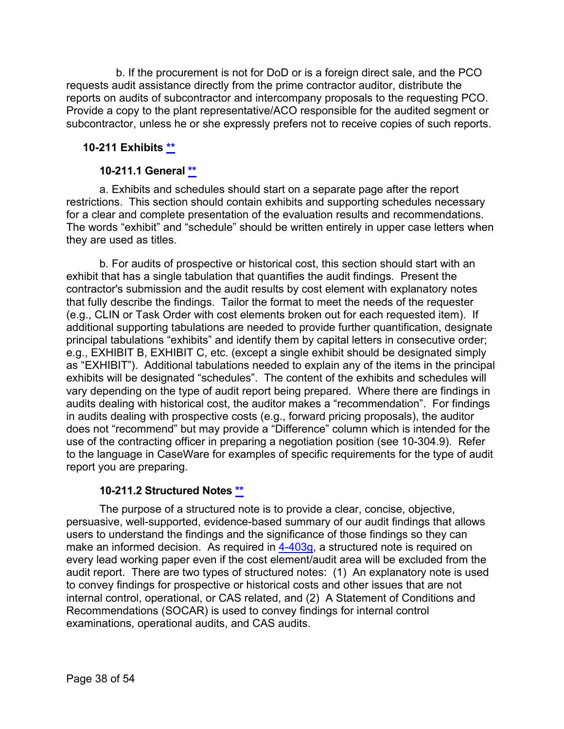b. If the procurement is not for DoD or is a foreign direct sale, and the PCO requests audit assistance directly from the prime contractor auditor, distribute the reports on audits of subcontractor and intercompany proposals to the requesting PCO. Provide a copy to the plant representative/ACO responsible for the audited segment or subcontractor, unless he or she expressly prefers not to receive copies of such reports.

#### <span id="page-37-0"></span>**10-211 Exhibits [\\*\\*](#page-2-19)**

#### **10-211.1 General \*\***

<span id="page-37-1"></span>a. Exhibits and schedules should start on a separate page after the report restrictions. This section should contain exhibits and supporting schedules necessary for a clear and complete presentation of the evaluation results and recommendations. The words "exhibit" and "schedule" should be written entirely in upper case letters when they are used as titles.

b. For audits of prospective or historical cost, this section should start with an exhibit that has a single tabulation that quantifies the audit findings. Present the contractor's submission and the audit results by cost element with explanatory notes that fully describe the findings. Tailor the format to meet the needs of the requester (e.g., CLIN or Task Order with cost elements broken out for each requested item). If additional supporting tabulations are needed to provide further quantification, designate principal tabulations "exhibits" and identify them by capital letters in consecutive order; e.g., EXHIBIT B, EXHIBIT C, etc. (except a single exhibit should be designated simply as "EXHIBIT"). Additional tabulations needed to explain any of the items in the principal exhibits will be designated "schedules". The content of the exhibits and schedules will vary depending on the type of audit report being prepared. Where there are findings in audits dealing with historical cost, the auditor makes a "recommendation". For findings in audits dealing with prospective costs (e.g., forward pricing proposals), the auditor does not "recommend" but may provide a "Difference" column which is intended for the use of the contracting officer in preparing a negotiation position (see 10-304.9). Refer to the language in CaseWare for examples of specific requirements for the type of audit report you are preparing.

#### **10-211.2 Structured Notes [\\*\\*](#page-2-20)**

<span id="page-37-2"></span>The purpose of a structured note is to provide a clear, concise, objective, persuasive, well-supported, evidence-based summary of our audit findings that allows users to understand the findings and the significance of those findings so they can make an informed decision. As required in [4-403g,](https://viper.dcaa.mil/guidance/cam/3130/general-audit-requirements#Sec4403) a structured note is required on every lead working paper even if the cost element/audit area will be excluded from the audit report. There are two types of structured notes: (1) An explanatory note is used to convey findings for prospective or historical costs and other issues that are not internal control, operational, or CAS related, and (2) A Statement of Conditions and Recommendations (SOCAR) is used to convey findings for internal control examinations, operational audits, and CAS audits.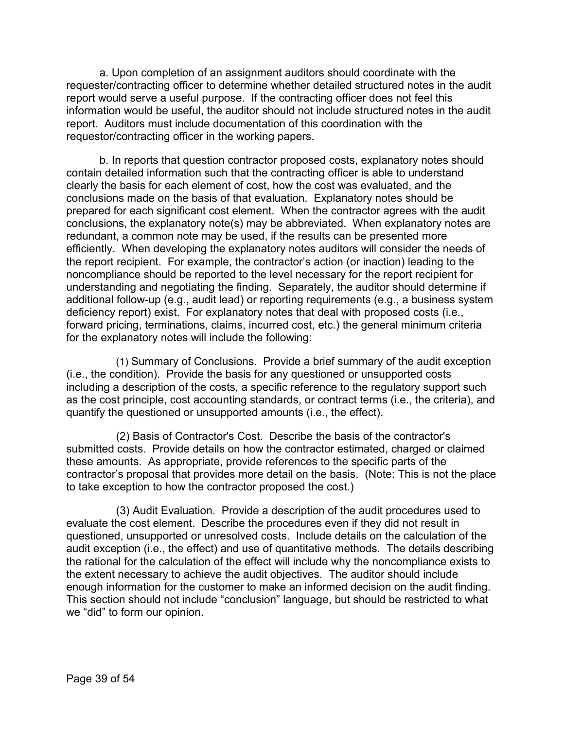a. Upon completion of an assignment auditors should coordinate with the requester/contracting officer to determine whether detailed structured notes in the audit report would serve a useful purpose. If the contracting officer does not feel this information would be useful, the auditor should not include structured notes in the audit report. Auditors must include documentation of this coordination with the requestor/contracting officer in the working papers.

b. In reports that question contractor proposed costs, explanatory notes should contain detailed information such that the contracting officer is able to understand clearly the basis for each element of cost, how the cost was evaluated, and the conclusions made on the basis of that evaluation. Explanatory notes should be prepared for each significant cost element. When the contractor agrees with the audit conclusions, the explanatory note(s) may be abbreviated. When explanatory notes are redundant, a common note may be used, if the results can be presented more efficiently. When developing the explanatory notes auditors will consider the needs of the report recipient. For example, the contractor's action (or inaction) leading to the noncompliance should be reported to the level necessary for the report recipient for understanding and negotiating the finding. Separately, the auditor should determine if additional follow-up (e.g., audit lead) or reporting requirements (e.g., a business system deficiency report) exist. For explanatory notes that deal with proposed costs (i.e., forward pricing, terminations, claims, incurred cost, etc.) the general minimum criteria for the explanatory notes will include the following:

(1) Summary of Conclusions. Provide a brief summary of the audit exception (i.e., the condition). Provide the basis for any questioned or unsupported costs including a description of the costs, a specific reference to the regulatory support such as the cost principle, cost accounting standards, or contract terms (i.e., the criteria), and quantify the questioned or unsupported amounts (i.e., the effect).

(2) Basis of Contractor's Cost. Describe the basis of the contractor's submitted costs. Provide details on how the contractor estimated, charged or claimed these amounts. As appropriate, provide references to the specific parts of the contractor's proposal that provides more detail on the basis. (Note: This is not the place to take exception to how the contractor proposed the cost.)

(3) Audit Evaluation. Provide a description of the audit procedures used to evaluate the cost element. Describe the procedures even if they did not result in questioned, unsupported or unresolved costs. Include details on the calculation of the audit exception (i.e., the effect) and use of quantitative methods. The details describing the rational for the calculation of the effect will include why the noncompliance exists to the extent necessary to achieve the audit objectives. The auditor should include enough information for the customer to make an informed decision on the audit finding. This section should not include "conclusion" language, but should be restricted to what we "did" to form our opinion.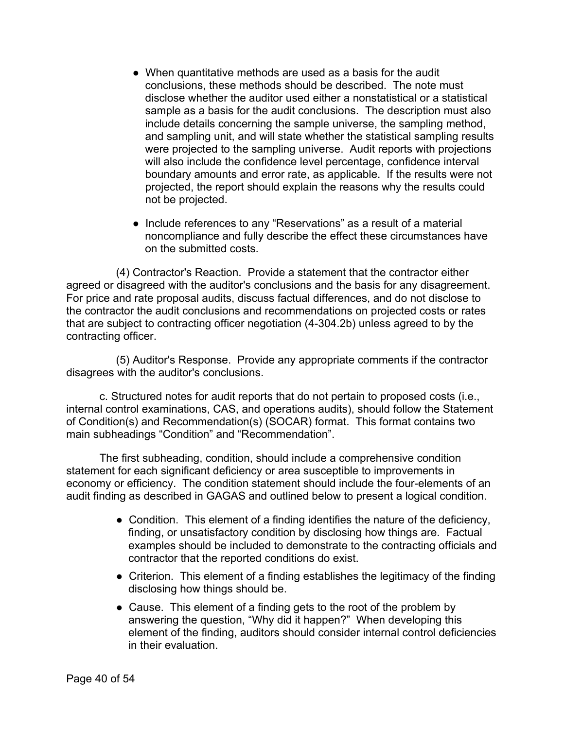- When quantitative methods are used as a basis for the audit conclusions, these methods should be described. The note must disclose whether the auditor used either a nonstatistical or a statistical sample as a basis for the audit conclusions. The description must also include details concerning the sample universe, the sampling method, and sampling unit, and will state whether the statistical sampling results were projected to the sampling universe. Audit reports with projections will also include the confidence level percentage, confidence interval boundary amounts and error rate, as applicable. If the results were not projected, the report should explain the reasons why the results could not be projected.
- Include references to any "Reservations" as a result of a material noncompliance and fully describe the effect these circumstances have on the submitted costs.

(4) Contractor's Reaction. Provide a statement that the contractor either agreed or disagreed with the auditor's conclusions and the basis for any disagreement. For price and rate proposal audits, discuss factual differences, and do not disclose to the contractor the audit conclusions and recommendations on projected costs or rates that are subject to contracting officer negotiation (4-304.2b) unless agreed to by the contracting officer.

(5) Auditor's Response. Provide any appropriate comments if the contractor disagrees with the auditor's conclusions.

c. Structured notes for audit reports that do not pertain to proposed costs (i.e., internal control examinations, CAS, and operations audits), should follow the Statement of Condition(s) and Recommendation(s) (SOCAR) format. This format contains two main subheadings "Condition" and "Recommendation".

The first subheading, condition, should include a comprehensive condition statement for each significant deficiency or area susceptible to improvements in economy or efficiency. The condition statement should include the four-elements of an audit finding as described in GAGAS and outlined below to present a logical condition.

- Condition. This element of a finding identifies the nature of the deficiency, finding, or unsatisfactory condition by disclosing how things are. Factual examples should be included to demonstrate to the contracting officials and contractor that the reported conditions do exist.
- Criterion. This element of a finding establishes the legitimacy of the finding disclosing how things should be.
- Cause. This element of a finding gets to the root of the problem by answering the question, "Why did it happen?" When developing this element of the finding, auditors should consider internal control deficiencies in their evaluation.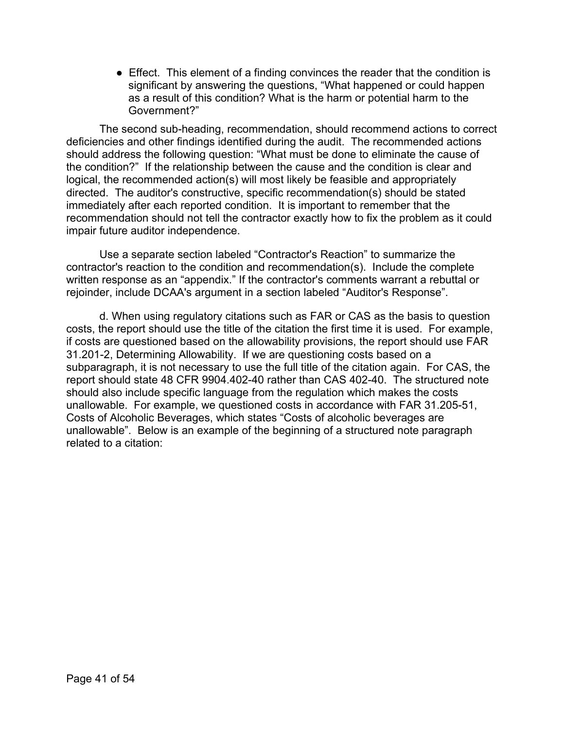● Effect. This element of a finding convinces the reader that the condition is significant by answering the questions, "What happened or could happen as a result of this condition? What is the harm or potential harm to the Government?"

The second sub-heading, recommendation, should recommend actions to correct deficiencies and other findings identified during the audit. The recommended actions should address the following question: "What must be done to eliminate the cause of the condition?" If the relationship between the cause and the condition is clear and logical, the recommended action(s) will most likely be feasible and appropriately directed. The auditor's constructive, specific recommendation(s) should be stated immediately after each reported condition. It is important to remember that the recommendation should not tell the contractor exactly how to fix the problem as it could impair future auditor independence.

Use a separate section labeled "Contractor's Reaction" to summarize the contractor's reaction to the condition and recommendation(s). Include the complete written response as an "appendix." If the contractor's comments warrant a rebuttal or rejoinder, include DCAA's argument in a section labeled "Auditor's Response".

d. When using regulatory citations such as FAR or CAS as the basis to question costs, the report should use the title of the citation the first time it is used. For example, if costs are questioned based on the allowability provisions, the report should use FAR 31.201-2, Determining Allowability. If we are questioning costs based on a subparagraph, it is not necessary to use the full title of the citation again. For CAS, the report should state 48 CFR 9904.402-40 rather than CAS 402-40. The structured note should also include specific language from the regulation which makes the costs unallowable. For example, we questioned costs in accordance with FAR 31.205-51, Costs of Alcoholic Beverages, which states "Costs of alcoholic beverages are unallowable". Below is an example of the beginning of a structured note paragraph related to a citation: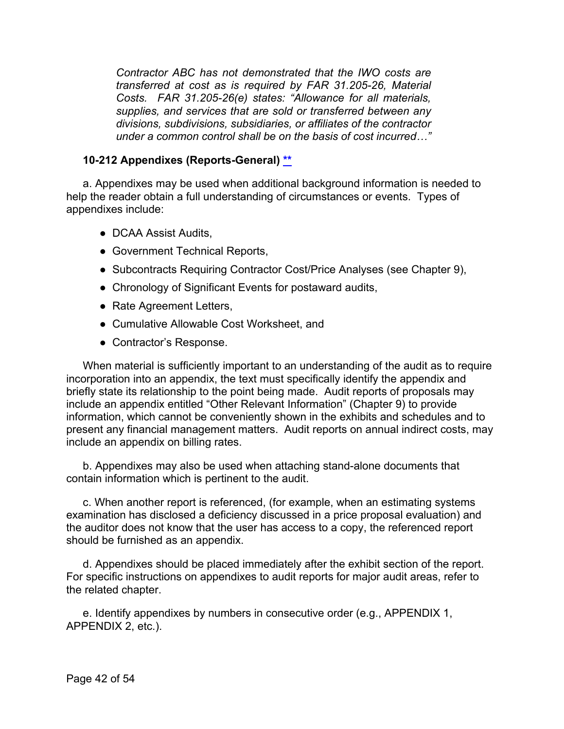*Contractor ABC has not demonstrated that the IWO costs are transferred at cost as is required by FAR 31.205-26, Material Costs. FAR 31.205-26(e) states: "Allowance for all materials, supplies, and services that are sold or transferred between any divisions, subdivisions, subsidiaries, or affiliates of the contractor under a common control shall be on the basis of cost incurred…"*

#### <span id="page-41-0"></span>**10-212 Appendixes (Reports-General) [\\*\\*](#page-2-21)**

a. Appendixes may be used when additional background information is needed to help the reader obtain a full understanding of circumstances or events. Types of appendixes include:

- DCAA Assist Audits,
- Government Technical Reports,
- Subcontracts Requiring Contractor Cost/Price Analyses (see Chapter 9),
- Chronology of Significant Events for postaward audits,
- Rate Agreement Letters,
- Cumulative Allowable Cost Worksheet, and
- Contractor's Response.

When material is sufficiently important to an understanding of the audit as to require incorporation into an appendix, the text must specifically identify the appendix and briefly state its relationship to the point being made. Audit reports of proposals may include an appendix entitled "Other Relevant Information" (Chapter 9) to provide information, which cannot be conveniently shown in the exhibits and schedules and to present any financial management matters. Audit reports on annual indirect costs, may include an appendix on billing rates.

b. Appendixes may also be used when attaching stand-alone documents that contain information which is pertinent to the audit.

c. When another report is referenced, (for example, when an estimating systems examination has disclosed a deficiency discussed in a price proposal evaluation) and the auditor does not know that the user has access to a copy, the referenced report should be furnished as an appendix.

d. Appendixes should be placed immediately after the exhibit section of the report. For specific instructions on appendixes to audit reports for major audit areas, refer to the related chapter.

e. Identify appendixes by numbers in consecutive order (e.g., APPENDIX 1, APPENDIX 2, etc.).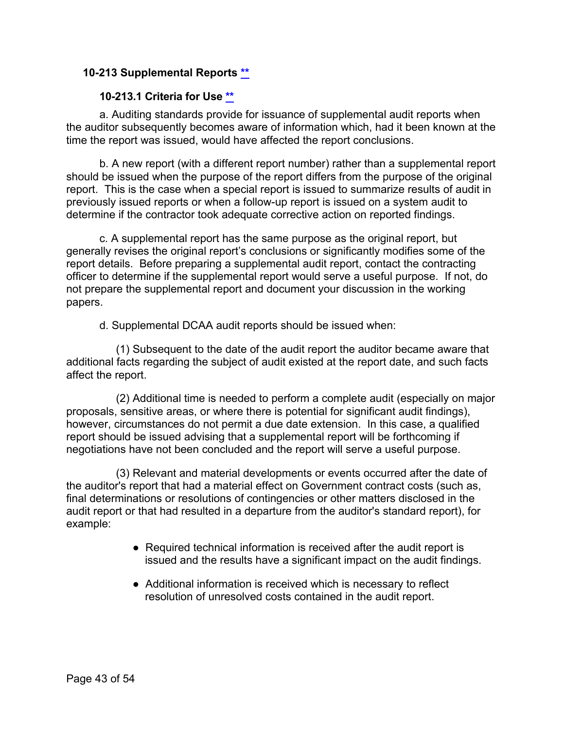#### <span id="page-42-0"></span>**10-213 Supplemental Reports [\\*\\*](#page-3-8)**

#### **10-213.1 Criteria for Use [\\*\\*](#page-3-9)**

<span id="page-42-1"></span>a. Auditing standards provide for issuance of supplemental audit reports when the auditor subsequently becomes aware of information which, had it been known at the time the report was issued, would have affected the report conclusions.

b. A new report (with a different report number) rather than a supplemental report should be issued when the purpose of the report differs from the purpose of the original report. This is the case when a special report is issued to summarize results of audit in previously issued reports or when a follow-up report is issued on a system audit to determine if the contractor took adequate corrective action on reported findings.

c. A supplemental report has the same purpose as the original report, but generally revises the original report's conclusions or significantly modifies some of the report details. Before preparing a supplemental audit report, contact the contracting officer to determine if the supplemental report would serve a useful purpose. If not, do not prepare the supplemental report and document your discussion in the working papers.

d. Supplemental DCAA audit reports should be issued when:

(1) Subsequent to the date of the audit report the auditor became aware that additional facts regarding the subject of audit existed at the report date, and such facts affect the report.

(2) Additional time is needed to perform a complete audit (especially on major proposals, sensitive areas, or where there is potential for significant audit findings), however, circumstances do not permit a due date extension. In this case, a qualified report should be issued advising that a supplemental report will be forthcoming if negotiations have not been concluded and the report will serve a useful purpose.

(3) Relevant and material developments or events occurred after the date of the auditor's report that had a material effect on Government contract costs (such as, final determinations or resolutions of contingencies or other matters disclosed in the audit report or that had resulted in a departure from the auditor's standard report), for example:

- Required technical information is received after the audit report is issued and the results have a significant impact on the audit findings.
- Additional information is received which is necessary to reflect resolution of unresolved costs contained in the audit report.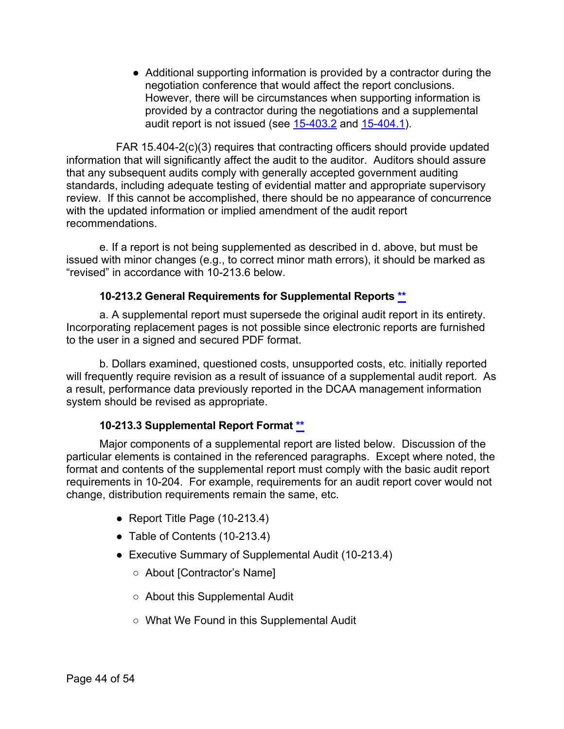● Additional supporting information is provided by a contractor during the negotiation conference that would affect the report conclusions. However, there will be circumstances when supporting information is provided by a contractor during the negotiations and a supplemental audit report is not issued (see  $15-403.2$  and  $15-404.1$ ).

FAR 15.404-2(c)(3) requires that contracting officers should provide updated information that will significantly affect the audit to the auditor. Auditors should assure that any subsequent audits comply with generally accepted government auditing standards, including adequate testing of evidential matter and appropriate supervisory review. If this cannot be accomplished, there should be no appearance of concurrence with the updated information or implied amendment of the audit report recommendations.

e. If a report is not being supplemented as described in d. above, but must be issued with minor changes (e.g., to correct minor math errors), it should be marked as "revised" in accordance with 10-213.6 below.

#### **10-213.2 General Requirements for Supplemental Reports [\\*\\*](#page-3-10)**

<span id="page-43-0"></span>a. A supplemental report must supersede the original audit report in its entirety. Incorporating replacement pages is not possible since electronic reports are furnished to the user in a signed and secured PDF format.

b. Dollars examined, questioned costs, unsupported costs, etc. initially reported will frequently require revision as a result of issuance of a supplemental audit report. As a result, performance data previously reported in the DCAA management information system should be revised as appropriate.

#### **10-213.3 Supplemental Report Format [\\*\\*](#page-3-11)**

<span id="page-43-1"></span>Major components of a supplemental report are listed below. Discussion of the particular elements is contained in the referenced paragraphs. Except where noted, the format and contents of the supplemental report must comply with the basic audit report requirements in 10-204. For example, requirements for an audit report cover would not change, distribution requirements remain the same, etc.

- Report Title Page (10-213.4)
- Table of Contents (10-213.4)
- Executive Summary of Supplemental Audit (10-213.4)
	- About [Contractor's Name]
	- About this Supplemental Audit
	- What We Found in this Supplemental Audit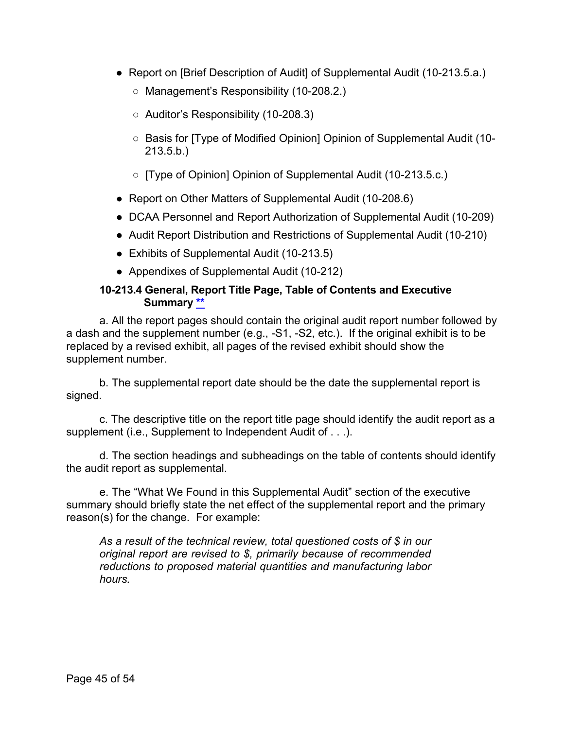- Report on [Brief Description of Audit] of Supplemental Audit (10-213.5.a.)
	- Management's Responsibility (10-208.2.)
	- Auditor's Responsibility (10-208.3)
	- Basis for [Type of Modified Opinion] Opinion of Supplemental Audit (10- 213.5.b.)
	- [Type of Opinion] Opinion of Supplemental Audit (10-213.5.c.)
- Report on Other Matters of Supplemental Audit (10-208.6)
- DCAA Personnel and Report Authorization of Supplemental Audit (10-209)
- Audit Report Distribution and Restrictions of Supplemental Audit (10-210)
- Exhibits of Supplemental Audit (10-213.5)
- Appendixes of Supplemental Audit (10-212)

#### **10-213.4 General, Report Title Page, Table of Contents and Executive Summary [\\*\\*](#page-3-12)**

<span id="page-44-0"></span>a. All the report pages should contain the original audit report number followed by a dash and the supplement number (e.g., -S1, -S2, etc.). If the original exhibit is to be replaced by a revised exhibit, all pages of the revised exhibit should show the supplement number.

b. The supplemental report date should be the date the supplemental report is signed.

c. The descriptive title on the report title page should identify the audit report as a supplement (i.e., Supplement to Independent Audit of . . .).

d. The section headings and subheadings on the table of contents should identify the audit report as supplemental.

e. The "What We Found in this Supplemental Audit" section of the executive summary should briefly state the net effect of the supplemental report and the primary reason(s) for the change. For example:

*As a result of the technical review, total questioned costs of \$ in our original report are revised to \$, primarily because of recommended reductions to proposed material quantities and manufacturing labor hours.*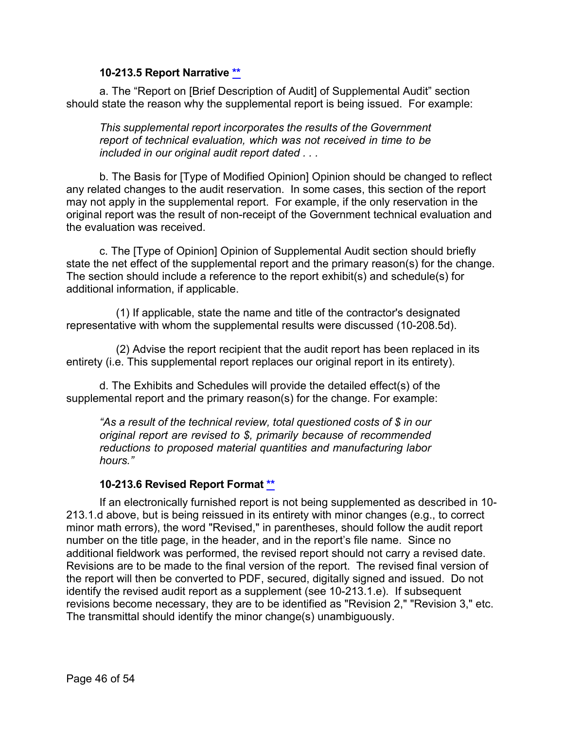#### **10-213.5 Report Narrative \*\***

<span id="page-45-0"></span>a. The "Report on [Brief Description of Audit] of Supplemental Audit" section should state the reason why the supplemental report is being issued. For example:

*This supplemental report incorporates the results of the Government report of technical evaluation, which was not received in time to be included in our original audit report dated . . .*

b. The Basis for [Type of Modified Opinion] Opinion should be changed to reflect any related changes to the audit reservation. In some cases, this section of the report may not apply in the supplemental report. For example, if the only reservation in the original report was the result of non-receipt of the Government technical evaluation and the evaluation was received.

c. The [Type of Opinion] Opinion of Supplemental Audit section should briefly state the net effect of the supplemental report and the primary reason(s) for the change. The section should include a reference to the report exhibit(s) and schedule(s) for additional information, if applicable.

(1) If applicable, state the name and title of the contractor's designated representative with whom the supplemental results were discussed (10-208.5d).

(2) Advise the report recipient that the audit report has been replaced in its entirety (i.e. This supplemental report replaces our original report in its entirety).

d. The Exhibits and Schedules will provide the detailed effect(s) of the supplemental report and the primary reason(s) for the change. For example:

*"As a result of the technical review, total questioned costs of \$ in our original report are revised to \$, primarily because of recommended reductions to proposed material quantities and manufacturing labor hours."*

#### **10-213.6 Revised Report Format [\\*\\*](#page-3-13)**

<span id="page-45-1"></span>If an electronically furnished report is not being supplemented as described in 10- 213.1.d above, but is being reissued in its entirety with minor changes (e.g., to correct minor math errors), the word "Revised," in parentheses, should follow the audit report number on the title page, in the header, and in the report's file name. Since no additional fieldwork was performed, the revised report should not carry a revised date. Revisions are to be made to the final version of the report. The revised final version of the report will then be converted to PDF, secured, digitally signed and issued. Do not identify the revised audit report as a supplement (see 10-213.1.e). If subsequent revisions become necessary, they are to be identified as "Revision 2," "Revision 3," etc. The transmittal should identify the minor change(s) unambiguously.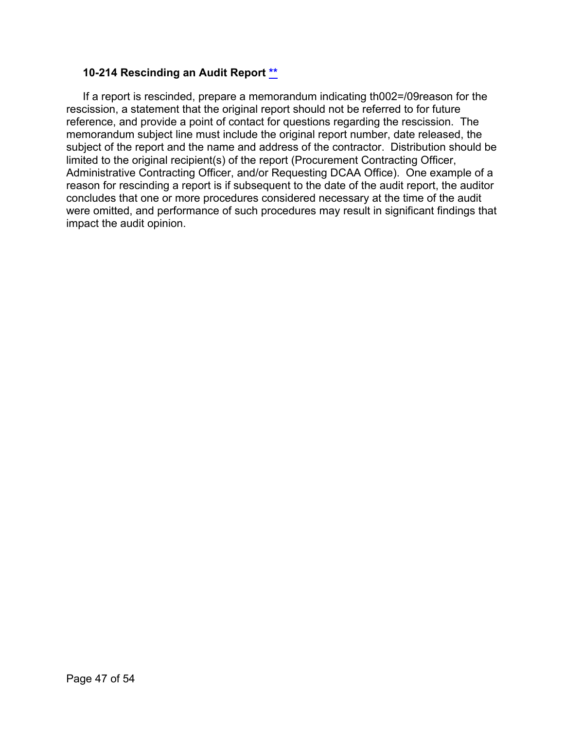#### <span id="page-46-0"></span>**10-214 Rescinding an Audit Report [\\*\\*](#page-3-14)**

<span id="page-46-1"></span>If a report is rescinded, prepare a memorandum indicating th002=/09reason for the rescission, a statement that the original report should not be referred to for future reference, and provide a point of contact for questions regarding the rescission. The memorandum subject line must include the original report number, date released, the subject of the report and the name and address of the contractor. Distribution should be limited to the original recipient(s) of the report (Procurement Contracting Officer, Administrative Contracting Officer, and/or Requesting DCAA Office). One example of a reason for rescinding a report is if subsequent to the date of the audit report, the auditor concludes that one or more procedures considered necessary at the time of the audit were omitted, and performance of such procedures may result in significant findings that impact the audit opinion.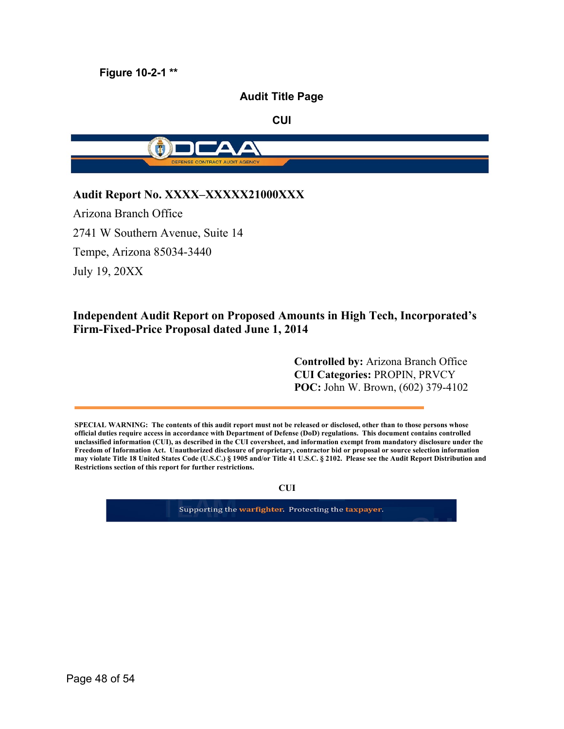**Figure 10-2-1 [\\*\\*](#page-3-15)**

#### **Audit Title Page**

**CUI**



#### **Audit Report No. XXXX–XXXXX21000XXX**

Arizona Branch Office 2741 W Southern Avenue, Suite 14 Tempe, Arizona 85034-3440 July 19, 20XX

#### **Independent Audit Report on Proposed Amounts in High Tech, Incorporated's Firm-Fixed-Price Proposal dated June 1, 2014**

**Controlled by:** Arizona Branch Office **CUI Categories:** PROPIN, PRVCY **POC:** John W. Brown, (602) 379-4102

**SPECIAL WARNING: The contents of this audit report must not be released or disclosed, other than to those persons whose official duties require access in accordance with Department of Defense (DoD) regulations. This document contains controlled unclassified information (CUI), as described in the CUI coversheet, and information exempt from mandatory disclosure under the Freedom of Information Act. Unauthorized disclosure of proprietary, contractor bid or proposal or source selection information may violate Title 18 United States Code (U.S.C.) § 1905 and/or Title 41 U.S.C. § 2102. Please see the Audit Report Distribution and Restrictions section of this report for further restrictions.**

**CUI**

Supporting the warfighter. Protecting the taxpayer.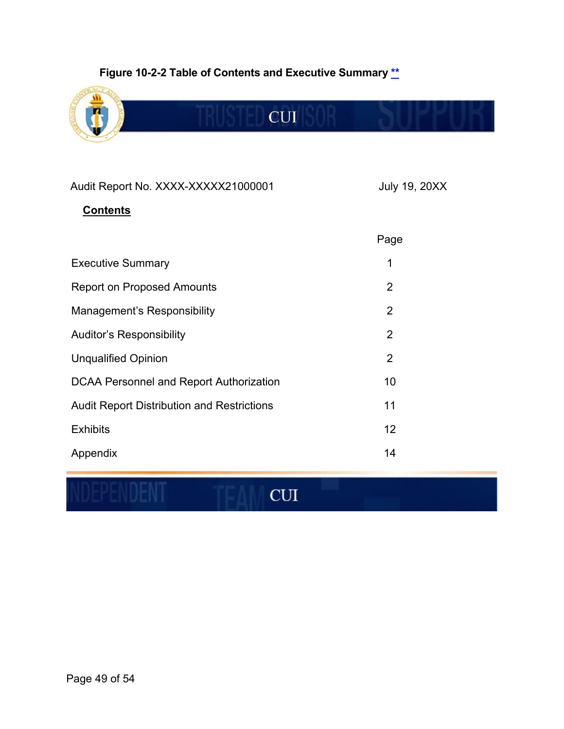## **Figure 10-2-2 Table of Contents and Executive Summary [\\*\\*](#page-3-4)**



## Audit Report No. XXXX-XXXXX21000001 July 19, 20XX

## **Contents**

|                                                   | Page           |
|---------------------------------------------------|----------------|
| <b>Executive Summary</b>                          | 1              |
| <b>Report on Proposed Amounts</b>                 | 2              |
| Management's Responsibility                       | $\overline{2}$ |
| <b>Auditor's Responsibility</b>                   | $\overline{2}$ |
| <b>Unqualified Opinion</b>                        | $\overline{2}$ |
| DCAA Personnel and Report Authorization           | 10             |
| <b>Audit Report Distribution and Restrictions</b> | 11             |
| <b>Exhibits</b>                                   | 12             |
| Appendix                                          | 14             |

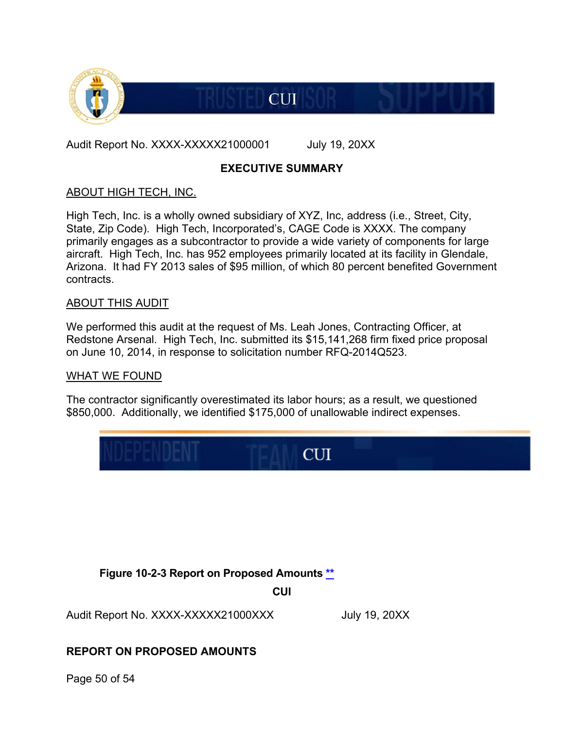

Audit Report No. XXXX-XXXXX21000001 July 19, 20XX

#### **EXECUTIVE SUMMARY**

**CUI** 

#### ABOUT HIGH TECH, INC.

High Tech, Inc. is a wholly owned subsidiary of XYZ, Inc, address (i.e., Street, City, State, Zip Code). High Tech, Incorporated's, CAGE Code is XXXX. The company primarily engages as a subcontractor to provide a wide variety of components for large aircraft. High Tech, Inc. has 952 employees primarily located at its facility in Glendale, Arizona. It had FY 2013 sales of \$95 million, of which 80 percent benefited Government contracts.

#### ABOUT THIS AUDIT

We performed this audit at the request of Ms. Leah Jones, Contracting Officer, at Redstone Arsenal. High Tech, Inc. submitted its \$15,141,268 firm fixed price proposal on June 10, 2014, in response to solicitation number RFQ-2014Q523.

#### WHAT WE FOUND

The contractor significantly overestimated its labor hours; as a result, we questioned \$850,000. Additionally, we identified \$175,000 of unallowable indirect expenses.



**Figure 10-2-3 Report on Proposed Amounts [\\*\\*](#page-3-5)**

**CUI**

Audit Report No. XXXX-XXXXX21000XXX July 19, 20XX

## **REPORT ON PROPOSED AMOUNTS**

Page 50 of 54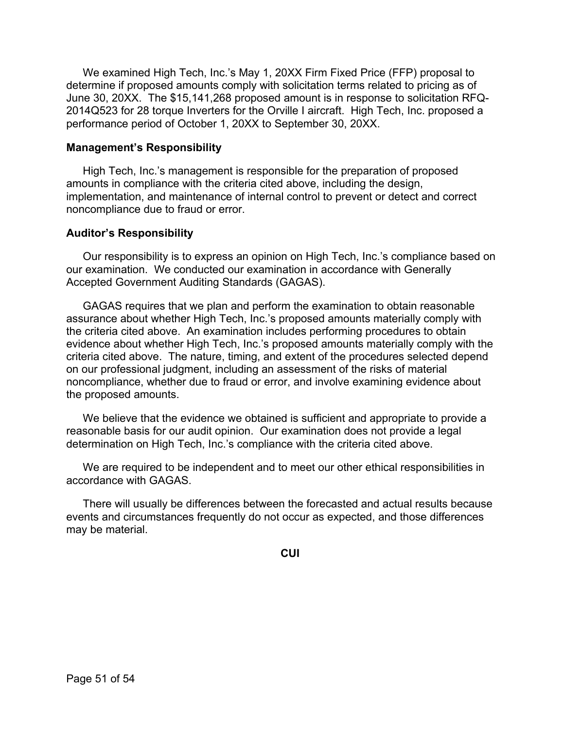We examined High Tech, Inc.'s May 1, 20XX Firm Fixed Price (FFP) proposal to determine if proposed amounts comply with solicitation terms related to pricing as of June 30, 20XX. The \$15,141,268 proposed amount is in response to solicitation RFQ-2014Q523 for 28 torque Inverters for the Orville I aircraft. High Tech, Inc. proposed a performance period of October 1, 20XX to September 30, 20XX.

#### **Management's Responsibility**

High Tech, Inc.'s management is responsible for the preparation of proposed amounts in compliance with the criteria cited above, including the design, implementation, and maintenance of internal control to prevent or detect and correct noncompliance due to fraud or error.

#### **Auditor's Responsibility**

Our responsibility is to express an opinion on High Tech, Inc.'s compliance based on our examination. We conducted our examination in accordance with Generally Accepted Government Auditing Standards (GAGAS).

GAGAS requires that we plan and perform the examination to obtain reasonable assurance about whether High Tech, Inc.'s proposed amounts materially comply with the criteria cited above. An examination includes performing procedures to obtain evidence about whether High Tech, Inc.'s proposed amounts materially comply with the criteria cited above. The nature, timing, and extent of the procedures selected depend on our professional judgment, including an assessment of the risks of material noncompliance, whether due to fraud or error, and involve examining evidence about the proposed amounts.

We believe that the evidence we obtained is sufficient and appropriate to provide a reasonable basis for our audit opinion. Our examination does not provide a legal determination on High Tech, Inc.'s compliance with the criteria cited above.

We are required to be independent and to meet our other ethical responsibilities in accordance with GAGAS.

There will usually be differences between the forecasted and actual results because events and circumstances frequently do not occur as expected, and those differences may be material.

**CUI**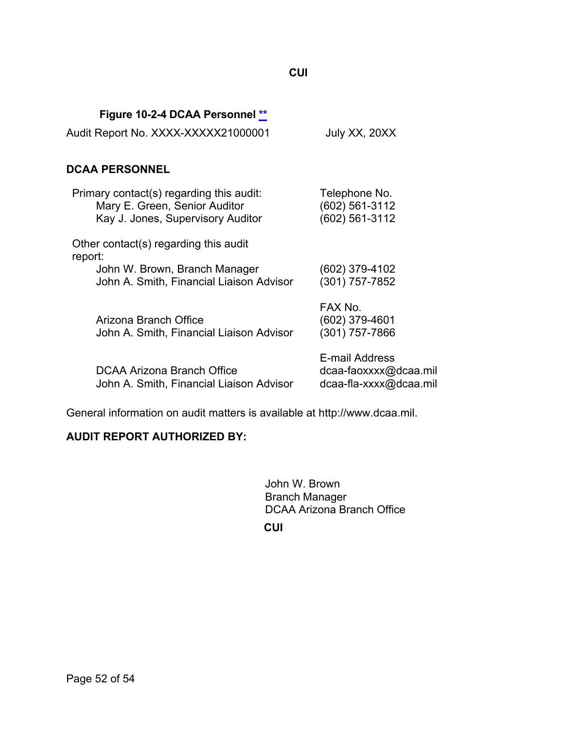| Audit Report No. XXXX-XXXXX21000001                                                                                           | July XX, 20XX                                                     |  |
|-------------------------------------------------------------------------------------------------------------------------------|-------------------------------------------------------------------|--|
| <b>DCAA PERSONNEL</b>                                                                                                         |                                                                   |  |
| Primary contact(s) regarding this audit:<br>Mary E. Green, Senior Auditor<br>Kay J. Jones, Supervisory Auditor                | Telephone No.<br>(602) 561-3112<br>(602) 561-3112                 |  |
| Other contact(s) regarding this audit<br>report:<br>John W. Brown, Branch Manager<br>John A. Smith, Financial Liaison Advisor | (602) 379-4102<br>(301) 757-7852                                  |  |
| Arizona Branch Office<br>John A. Smith, Financial Liaison Advisor                                                             | FAX No.<br>(602) 379-4601<br>(301) 757-7866                       |  |
| DCAA Arizona Branch Office<br>John A. Smith, Financial Liaison Advisor                                                        | E-mail Address<br>dcaa-faoxxxx@dcaa.mil<br>dcaa-fla-xxxx@dcaa.mil |  |

General information on audit matters is available at http://www.dcaa.mil.

#### **AUDIT REPORT AUTHORIZED BY:**

**Figure 10-2-4 DCAA Personnel [\\*\\*](#page-3-6)**

John W. Brown Branch Manager DCAA Arizona Branch Office

**CUI**

## **CUI**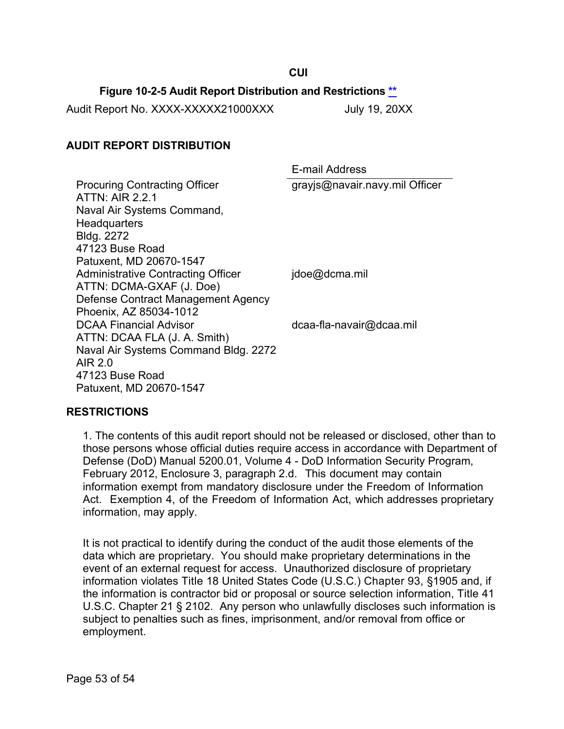## **Figure 10-2-5 Audit Report Distribution and Restrictions \*\***

**CUI**

Audit Report No. XXXX-XXXXX21000XXX July 19, 20XX

#### **AUDIT REPORT DISTRIBUTION**

E-mail Address Procuring Contracting Officer ATTN: AIR 2.2.1 Naval Air Systems Command, **Headquarters** Bldg. 2272 47123 Buse Road Patuxent, MD 20670-1547 grayjs@navair.navy.mil Officer Administrative Contracting Officer ATTN: DCMA-GXAF (J. Doe) Defense Contract Management Agency Phoenix, AZ 85034-1012 jdoe@dcma.mil DCAA Financial Advisor ATTN: DCAA FLA (J. A. Smith) Naval Air Systems Command Bldg. 2272 AIR 2.0 47123 Buse Road Patuxent, MD 20670-1547 [dcaa-fla-navair@dcaa.mil](mailto:dcaa-fla-navair@dcaa.mil)

#### **RESTRICTIONS**

1. The contents of this audit report should not be released or disclosed, other than to those persons whose official duties require access in accordance with Department of Defense (DoD) Manual 5200.01, Volume 4 - DoD Information Security Program, February 2012, Enclosure 3, paragraph 2.d. This document may contain information exempt from mandatory disclosure under the Freedom of Information Act. Exemption 4, of the Freedom of Information Act, which addresses proprietary information, may apply.

It is not practical to identify during the conduct of the audit those elements of the data which are proprietary. You should make proprietary determinations in the event of an external request for access. Unauthorized disclosure of proprietary information violates Title 18 United States Code (U.S.C.) Chapter 93, §1905 and, if the information is contractor bid or proposal or source selection information, Title 41 U.S.C. Chapter 21 § 2102. Any person who unlawfully discloses such information is subject to penalties such as fines, imprisonment, and/or removal from office or employment.